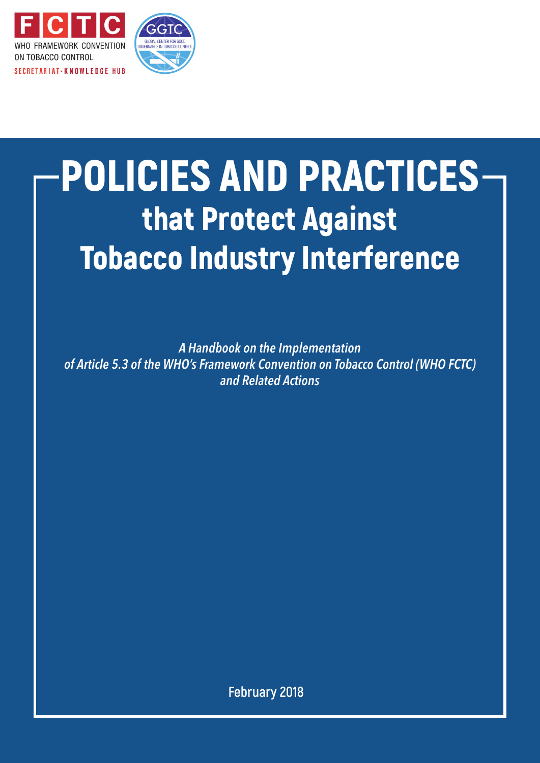

# POLICIES AND PRACTICES that Protect Against Tobacco Industry Interference

*A Handbook on the Implementation of Article 5.3 of the WHO's Framework Convention on Tobacco Control (WHO FCTC) and Related Actions*

**February 2018**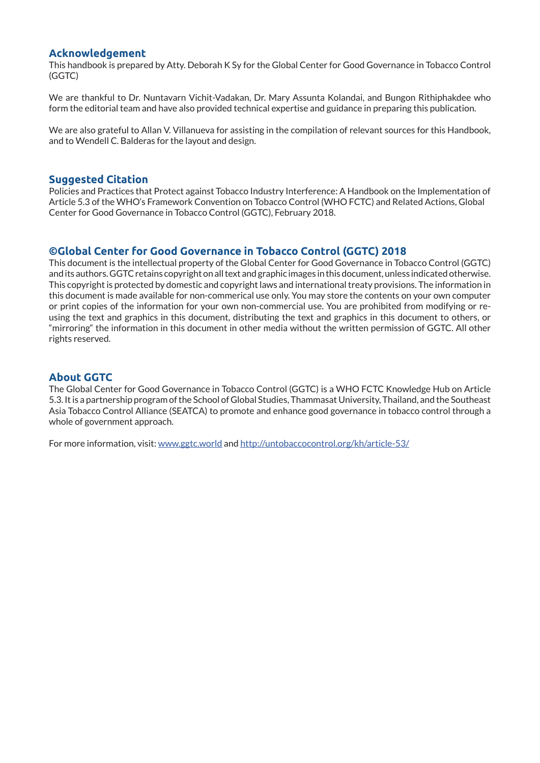#### **Acknowledgement**

This handbook is prepared by Atty. Deborah K Sy for the Global Center for Good Governance in Tobacco Control (GGTC)

We are thankful to Dr. Nuntavarn Vichit-Vadakan, Dr. Mary Assunta Kolandai, and Bungon Rithiphakdee who form the editorial team and have also provided technical expertise and guidance in preparing this publication.

We are also grateful to Allan V. Villanueva for assisting in the compilation of relevant sources for this Handbook, and to Wendell C. Balderas for the layout and design.

#### **Suggested Citation**

Policies and Practices that Protect against Tobacco Industry Interference: A Handbook on the Implementation of Article 5.3 of the WHO's Framework Convention on Tobacco Control (WHO FCTC) and Related Actions, Global Center for Good Governance in Tobacco Control (GGTC), February 2018.

#### **©Global Center for Good Governance in Tobacco Control (GGTC) 2018**

This document is the intellectual property of the Global Center for Good Governance in Tobacco Control (GGTC) and its authors. GGTC retains copyright on all text and graphic images in this document, unless indicated otherwise. This copyright is protected by domestic and copyright laws and international treaty provisions. The information in this document is made available for non-commerical use only. You may store the contents on your own computer or print copies of the information for your own non-commercial use. You are prohibited from modifying or reusing the text and graphics in this document, distributing the text and graphics in this document to others, or "mirroring" the information in this document in other media without the written permission of GGTC. All other rights reserved.

#### **About GGTC**

The Global Center for Good Governance in Tobacco Control (GGTC) is a WHO FCTC Knowledge Hub on Article 5.3. It is a partnership program of the School of Global Studies, Thammasat University, Thailand, and the Southeast Asia Tobacco Control Alliance (SEATCA) to promote and enhance good governance in tobacco control through a whole of government approach.

For more information, visit: www.ggtc.world and http://untobaccocontrol.org/kh/article-53/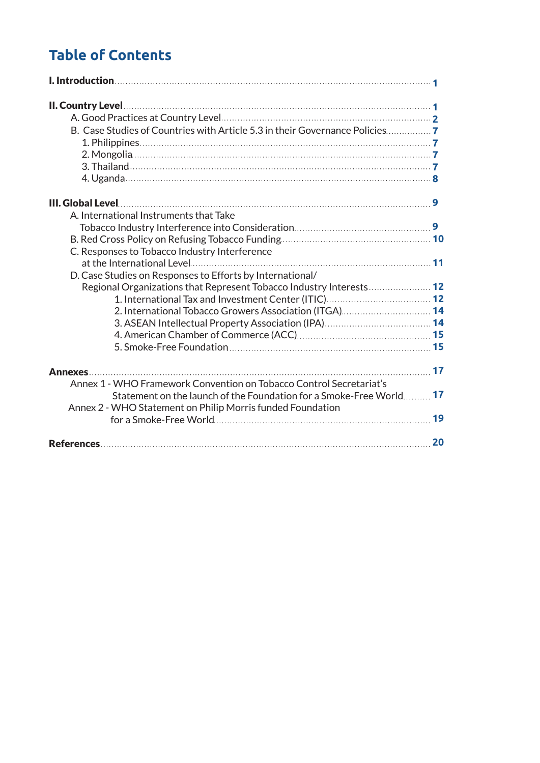# **Table of Contents**

| B. Case Studies of Countries with Article 5.3 in their Governance Policies |    |
|----------------------------------------------------------------------------|----|
|                                                                            |    |
|                                                                            |    |
|                                                                            |    |
|                                                                            |    |
|                                                                            |    |
| A. International Instruments that Take                                     |    |
|                                                                            |    |
|                                                                            |    |
| C. Responses to Tobacco Industry Interference                              |    |
|                                                                            |    |
| D. Case Studies on Responses to Efforts by International/                  |    |
| Regional Organizations that Represent Tobacco Industry Interests 12        |    |
|                                                                            |    |
| 2. International Tobacco Growers Association (ITGA) 14                     |    |
|                                                                            |    |
|                                                                            |    |
|                                                                            |    |
|                                                                            |    |
| Annex 1 - WHO Framework Convention on Tobacco Control Secretariat's        |    |
| <b>Statement on the launch of the Foundation for a Smoke-Free World 17</b> |    |
| Annex 2 - WHO Statement on Philip Morris funded Foundation                 |    |
|                                                                            | 19 |
|                                                                            | 20 |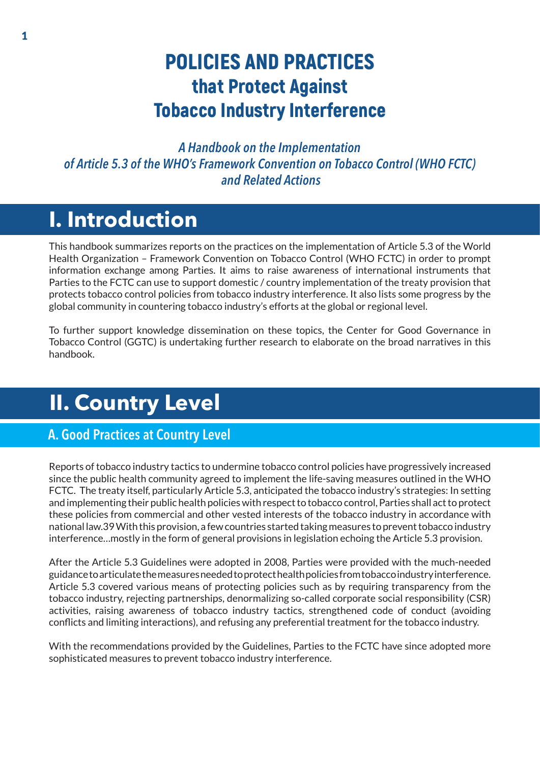# POLICIES AND PRACTICES that Protect Against Tobacco Industry Interference

*A Handbook on the Implementation of Article 5.3 of the WHO's Framework Convention on Tobacco Control (WHO FCTC) and Related Actions*

# **I. Introduction**

This handbook summarizes reports on the practices on the implementation of Article 5.3 of the World Health Organization – Framework Convention on Tobacco Control (WHO FCTC) in order to prompt information exchange among Parties. It aims to raise awareness of international instruments that Parties to the FCTC can use to support domestic / country implementation of the treaty provision that protects tobacco control policies from tobacco industry interference. It also lists some progress by the global community in countering tobacco industry's efforts at the global or regional level.

To further support knowledge dissemination on these topics, the Center for Good Governance in Tobacco Control (GGTC) is undertaking further research to elaborate on the broad narratives in this handbook.

# **II. Country Level**

### A. Good Practices at Country Level

Reports of tobacco industry tactics to undermine tobacco control policies have progressively increased since the public health community agreed to implement the life-saving measures outlined in the WHO FCTC. The treaty itself, particularly Article 5.3, anticipated the tobacco industry's strategies: In setting and implementing their public health policies with respect to tobacco control, Parties shall act to protect these policies from commercial and other vested interests of the tobacco industry in accordance with national law.39 With this provision, a few countries started taking measures to prevent tobacco industry interference…mostly in the form of general provisions in legislation echoing the Article 5.3 provision.

After the Article 5.3 Guidelines were adopted in 2008, Parties were provided with the much-needed guidance to articulate the measures needed to protect health policies from tobacco industry interference. Article 5.3 covered various means of protecting policies such as by requiring transparency from the tobacco industry, rejecting partnerships, denormalizing so-called corporate social responsibility (CSR) activities, raising awareness of tobacco industry tactics, strengthened code of conduct (avoiding conflicts and limiting interactions), and refusing any preferential treatment for the tobacco industry.

With the recommendations provided by the Guidelines, Parties to the FCTC have since adopted more sophisticated measures to prevent tobacco industry interference.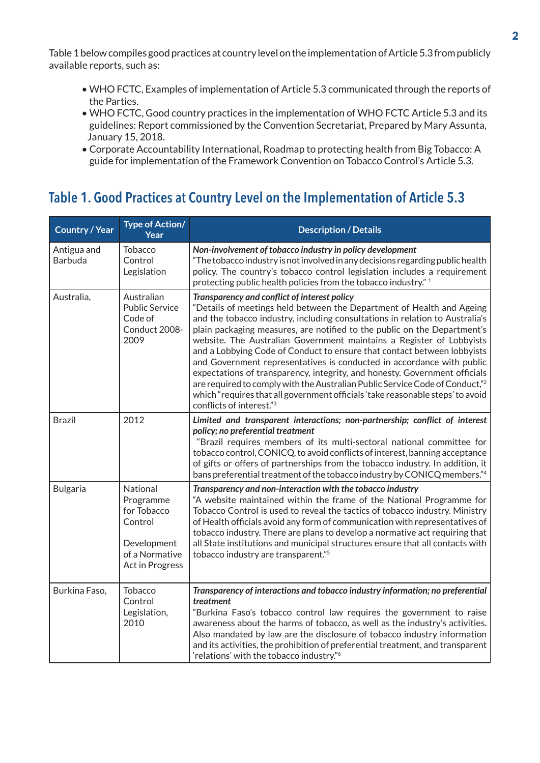Table 1 below compiles good practices at country level on the implementation of Article 5.3 from publicly available reports, such as:

- WHO FCTC, Examples of implementation of Article 5.3 communicated through the reports of the Parties.
- WHO FCTC, Good country practices in the implementation of WHO FCTC Article 5.3 and its guidelines: Report commissioned by the Convention Secretariat, Prepared by Mary Assunta, January 15, 2018.
- Corporate Accountability International, Roadmap to protecting health from Big Tobacco: A guide for implementation of the Framework Convention on Tobacco Control's Article 5.3.

# Table 1. Good Practices at Country Level on the Implementation of Article 5.3

| <b>Country / Year</b>  | <b>Type of Action/</b><br>Year                                                                             | <b>Description / Details</b>                                                                                                                                                                                                                                                                                                                                                                                                                                                                                                                                                                                                                                                                                                                                                                          |
|------------------------|------------------------------------------------------------------------------------------------------------|-------------------------------------------------------------------------------------------------------------------------------------------------------------------------------------------------------------------------------------------------------------------------------------------------------------------------------------------------------------------------------------------------------------------------------------------------------------------------------------------------------------------------------------------------------------------------------------------------------------------------------------------------------------------------------------------------------------------------------------------------------------------------------------------------------|
| Antigua and<br>Barbuda | <b>Tobacco</b><br>Control<br>Legislation                                                                   | Non-involvement of tobacco industry in policy development<br>"The tobacco industry is not involved in any decisions regarding public health<br>policy. The country's tobacco control legislation includes a requirement<br>protecting public health policies from the tobacco industry." 1                                                                                                                                                                                                                                                                                                                                                                                                                                                                                                            |
| Australia,             | Australian<br><b>Public Service</b><br>Code of<br>Conduct 2008-<br>2009                                    | Transparency and conflict of interest policy<br>"Details of meetings held between the Department of Health and Ageing<br>and the tobacco industry, including consultations in relation to Australia's<br>plain packaging measures, are notified to the public on the Department's<br>website. The Australian Government maintains a Register of Lobbyists<br>and a Lobbying Code of Conduct to ensure that contact between lobbyists<br>and Government representatives is conducted in accordance with public<br>expectations of transparency, integrity, and honesty. Government officials<br>are required to comply with the Australian Public Service Code of Conduct," <sup>2</sup><br>which "requires that all government officials 'take reasonable steps' to avoid<br>conflicts of interest."3 |
| <b>Brazil</b>          | 2012                                                                                                       | Limited and transparent interactions; non-partnership; conflict of interest<br>policy; no preferential treatment<br>"Brazil requires members of its multi-sectoral national committee for<br>tobacco control, CONICQ, to avoid conflicts of interest, banning acceptance<br>of gifts or offers of partnerships from the tobacco industry. In addition, it<br>bans preferential treatment of the tobacco industry by CONICQ members."4                                                                                                                                                                                                                                                                                                                                                                 |
| <b>Bulgaria</b>        | National<br>Programme<br>for Tobacco<br>Control<br>Development<br>of a Normative<br><b>Act in Progress</b> | Transparency and non-interaction with the tobacco industry<br>"A website maintained within the frame of the National Programme for<br>Tobacco Control is used to reveal the tactics of tobacco industry. Ministry<br>of Health officials avoid any form of communication with representatives of<br>tobacco industry. There are plans to develop a normative act requiring that<br>all State institutions and municipal structures ensure that all contacts with<br>tobacco industry are transparent."5                                                                                                                                                                                                                                                                                               |
| Burkina Faso,          | Tobacco<br>Control<br>Legislation,<br>2010                                                                 | Transparency of interactions and tobacco industry information; no preferential<br>treatment<br>"Burkina Faso's tobacco control law requires the government to raise<br>awareness about the harms of tobacco, as well as the industry's activities.<br>Also mandated by law are the disclosure of tobacco industry information<br>and its activities, the prohibition of preferential treatment, and transparent<br>'relations' with the tobacco industry." <sup>6</sup>                                                                                                                                                                                                                                                                                                                               |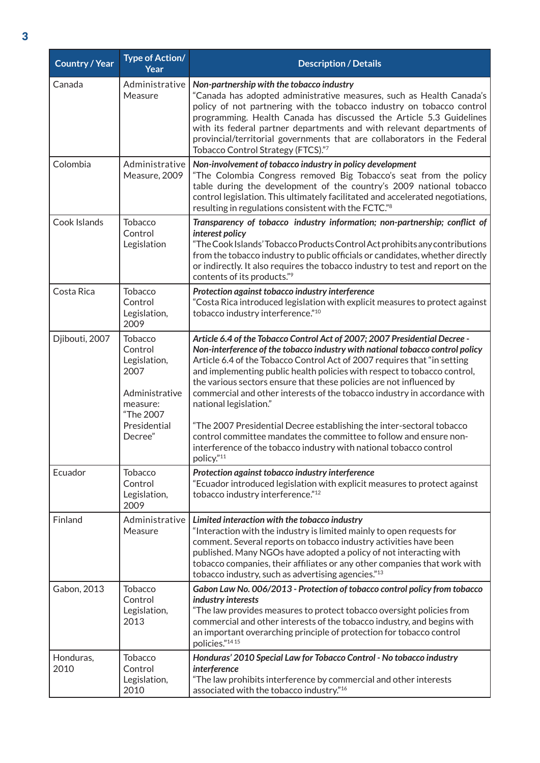| Country / Year    | <b>Type of Action/</b><br>Year                                                               | <b>Description / Details</b>                                                                                                                                                                                                                                                                                                                                                                                                                                                                       |
|-------------------|----------------------------------------------------------------------------------------------|----------------------------------------------------------------------------------------------------------------------------------------------------------------------------------------------------------------------------------------------------------------------------------------------------------------------------------------------------------------------------------------------------------------------------------------------------------------------------------------------------|
| Canada            | Administrative<br>Measure                                                                    | Non-partnership with the tobacco industry<br>"Canada has adopted administrative measures, such as Health Canada's<br>policy of not partnering with the tobacco industry on tobacco control<br>programming. Health Canada has discussed the Article 5.3 Guidelines<br>with its federal partner departments and with relevant departments of<br>provincial/territorial governments that are collaborators in the Federal<br>Tobacco Control Strategy (FTCS)."7                                       |
| Colombia          | Administrative<br>Measure, 2009                                                              | Non-involvement of tobacco industry in policy development<br>"The Colombia Congress removed Big Tobacco's seat from the policy<br>table during the development of the country's 2009 national tobacco<br>control legislation. This ultimately facilitated and accelerated negotiations,<br>resulting in regulations consistent with the FCTC." <sup>8</sup>                                                                                                                                        |
| Cook Islands      | Tobacco<br>Control<br>Legislation                                                            | Transparency of tobacco industry information; non-partnership; conflict of<br>interest policy<br>"The Cook Islands' Tobacco Products Control Act prohibits any contributions<br>from the tobacco industry to public officials or candidates, whether directly<br>or indirectly. It also requires the tobacco industry to test and report on the<br>contents of its products."9                                                                                                                     |
| Costa Rica        | <b>Tobacco</b><br>Control<br>Legislation,<br>2009                                            | Protection against tobacco industry interference<br>"Costa Rica introduced legislation with explicit measures to protect against<br>tobacco industry interference."10                                                                                                                                                                                                                                                                                                                              |
| Djibouti, 2007    | <b>Tobacco</b><br>Control<br>Legislation,<br>2007<br>Administrative<br>measure:<br>"The 2007 | Article 6.4 of the Tobacco Control Act of 2007; 2007 Presidential Decree -<br>Non-interference of the tobacco industry with national tobacco control policy<br>Article 6.4 of the Tobacco Control Act of 2007 requires that "in setting<br>and implementing public health policies with respect to tobacco control,<br>the various sectors ensure that these policies are not influenced by<br>commercial and other interests of the tobacco industry in accordance with<br>national legislation." |
|                   | Presidential<br>Decree"                                                                      | "The 2007 Presidential Decree establishing the inter-sectoral tobacco<br>control committee mandates the committee to follow and ensure non-<br>interference of the tobacco industry with national tobacco control<br>policy."11                                                                                                                                                                                                                                                                    |
| Ecuador           | <b>Tobacco</b><br>Control<br>Legislation,<br>2009                                            | Protection against tobacco industry interference<br>"Ecuador introduced legislation with explicit measures to protect against<br>tobacco industry interference."12                                                                                                                                                                                                                                                                                                                                 |
| Finland           | Administrative<br>Measure                                                                    | Limited interaction with the tobacco industry<br>"Interaction with the industry is limited mainly to open requests for<br>comment. Several reports on tobacco industry activities have been<br>published. Many NGOs have adopted a policy of not interacting with<br>tobacco companies, their affiliates or any other companies that work with<br>tobacco industry, such as advertising agencies."13                                                                                               |
| Gabon, 2013       | <b>Tobacco</b><br>Control<br>Legislation,<br>2013                                            | Gabon Law No. 006/2013 - Protection of tobacco control policy from tobacco<br>industry interests<br>"The law provides measures to protect tobacco oversight policies from<br>commercial and other interests of the tobacco industry, and begins with<br>an important overarching principle of protection for tobacco control<br>policies."1415                                                                                                                                                     |
| Honduras,<br>2010 | Tobacco<br>Control<br>Legislation,<br>2010                                                   | Honduras' 2010 Special Law for Tobacco Control - No tobacco industry<br><i>interference</i><br>"The law prohibits interference by commercial and other interests<br>associated with the tobacco industry."16                                                                                                                                                                                                                                                                                       |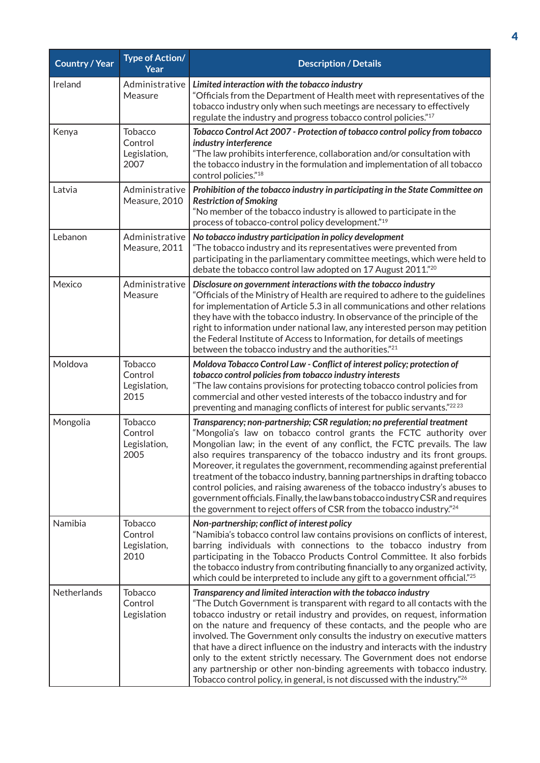| <b>Country / Year</b> | <b>Type of Action/</b><br>Year                    | <b>Description / Details</b>                                                                                                                                                                                                                                                                                                                                                                                                                                                                                                                                                                                                                                                                                |
|-----------------------|---------------------------------------------------|-------------------------------------------------------------------------------------------------------------------------------------------------------------------------------------------------------------------------------------------------------------------------------------------------------------------------------------------------------------------------------------------------------------------------------------------------------------------------------------------------------------------------------------------------------------------------------------------------------------------------------------------------------------------------------------------------------------|
| Ireland               | Administrative<br>Measure                         | Limited interaction with the tobacco industry<br>"Officials from the Department of Health meet with representatives of the<br>tobacco industry only when such meetings are necessary to effectively<br>regulate the industry and progress tobacco control policies."17                                                                                                                                                                                                                                                                                                                                                                                                                                      |
| Kenya                 | Tobacco<br>Control<br>Legislation,<br>2007        | Tobacco Control Act 2007 - Protection of tobacco control policy from tobacco<br>industry interference<br>"The law prohibits interference, collaboration and/or consultation with<br>the tobacco industry in the formulation and implementation of all tobacco<br>control policies." <sup>18</sup>                                                                                                                                                                                                                                                                                                                                                                                                           |
| Latvia                | Administrative<br>Measure, 2010                   | Prohibition of the tobacco industry in participating in the State Committee on<br><b>Restriction of Smoking</b><br>"No member of the tobacco industry is allowed to participate in the<br>process of tobacco-control policy development."19                                                                                                                                                                                                                                                                                                                                                                                                                                                                 |
| Lebanon               | Administrative<br>Measure, 2011                   | No tobacco industry participation in policy development<br>"The tobacco industry and its representatives were prevented from<br>participating in the parliamentary committee meetings, which were held to<br>debate the tobacco control law adopted on 17 August 2011."20                                                                                                                                                                                                                                                                                                                                                                                                                                   |
| Mexico                | Administrative<br>Measure                         | Disclosure on government interactions with the tobacco industry<br>"Officials of the Ministry of Health are required to adhere to the guidelines<br>for implementation of Article 5.3 in all communications and other relations<br>they have with the tobacco industry. In observance of the principle of the<br>right to information under national law, any interested person may petition<br>the Federal Institute of Access to Information, for details of meetings<br>between the tobacco industry and the authorities." <sup>21</sup>                                                                                                                                                                 |
| Moldova               | Tobacco<br>Control<br>Legislation,<br>2015        | Moldova Tobacco Control Law - Conflict of interest policy; protection of<br>tobacco control policies from tobacco industry interests<br>"The law contains provisions for protecting tobacco control policies from<br>commercial and other vested interests of the tobacco industry and for<br>preventing and managing conflicts of interest for public servants."2223                                                                                                                                                                                                                                                                                                                                       |
| Mongolia              | <b>Tobacco</b><br>Control<br>Legislation,<br>2005 | Transparency; non-partnership; CSR regulation; no preferential treatment<br>"Mongolia's law on tobacco control grants the FCTC authority over<br>Mongolian law; in the event of any conflict, the FCTC prevails. The law<br>also requires transparency of the tobacco industry and its front groups.<br>Moreover, it regulates the government, recommending against preferential<br>treatment of the tobacco industry, banning partnerships in drafting tobacco<br>control policies, and raising awareness of the tobacco industry's abuses to<br>government officials. Finally, the law bans tobacco industry CSR and requires<br>the government to reject offers of CSR from the tobacco industry."24     |
| Namibia               | Tobacco<br>Control<br>Legislation,<br>2010        | Non-partnership; conflict of interest policy<br>"Namibia's tobacco control law contains provisions on conflicts of interest,<br>barring individuals with connections to the tobacco industry from<br>participating in the Tobacco Products Control Committee. It also forbids<br>the tobacco industry from contributing financially to any organized activity,<br>which could be interpreted to include any gift to a government official." <sup>25</sup>                                                                                                                                                                                                                                                   |
| Netherlands           | Tobacco<br>Control<br>Legislation                 | Transparency and limited interaction with the tobacco industry<br>"The Dutch Government is transparent with regard to all contacts with the<br>tobacco industry or retail industry and provides, on request, information<br>on the nature and frequency of these contacts, and the people who are<br>involved. The Government only consults the industry on executive matters<br>that have a direct influence on the industry and interacts with the industry<br>only to the extent strictly necessary. The Government does not endorse<br>any partnership or other non-binding agreements with tobacco industry.<br>Tobacco control policy, in general, is not discussed with the industry." <sup>26</sup> |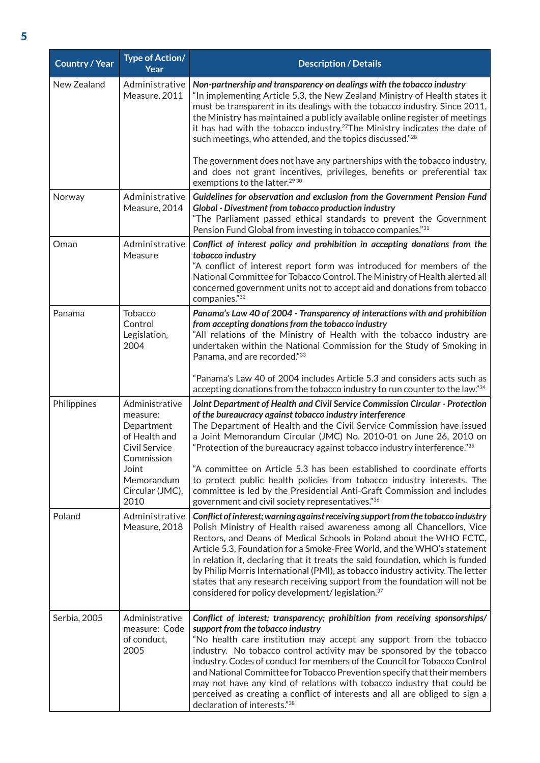| <b>Country / Year</b> | <b>Type of Action/</b><br>Year                                                                                                             | <b>Description / Details</b>                                                                                                                                                                                                                                                                                                                                                                                                                                                                                                                                                                                                                           |
|-----------------------|--------------------------------------------------------------------------------------------------------------------------------------------|--------------------------------------------------------------------------------------------------------------------------------------------------------------------------------------------------------------------------------------------------------------------------------------------------------------------------------------------------------------------------------------------------------------------------------------------------------------------------------------------------------------------------------------------------------------------------------------------------------------------------------------------------------|
| New Zealand           | Administrative<br>Measure, 2011                                                                                                            | Non-partnership and transparency on dealings with the tobacco industry<br>"In implementing Article 5.3, the New Zealand Ministry of Health states it<br>must be transparent in its dealings with the tobacco industry. Since 2011,<br>the Ministry has maintained a publicly available online register of meetings<br>it has had with the tobacco industry. <sup>27</sup> The Ministry indicates the date of<br>such meetings, who attended, and the topics discussed."28                                                                                                                                                                              |
|                       |                                                                                                                                            | The government does not have any partnerships with the tobacco industry,<br>and does not grant incentives, privileges, benefits or preferential tax<br>exemptions to the latter. <sup>2930</sup>                                                                                                                                                                                                                                                                                                                                                                                                                                                       |
| Norway                | Administrative<br>Measure, 2014                                                                                                            | Guidelines for observation and exclusion from the Government Pension Fund<br>Global - Divestment from tobacco production industry<br>"The Parliament passed ethical standards to prevent the Government<br>Pension Fund Global from investing in tobacco companies."31                                                                                                                                                                                                                                                                                                                                                                                 |
| Oman                  | Administrative<br>Measure                                                                                                                  | Conflict of interest policy and prohibition in accepting donations from the<br>tobacco industry<br>"A conflict of interest report form was introduced for members of the<br>National Committee for Tobacco Control. The Ministry of Health alerted all<br>concerned government units not to accept aid and donations from tobacco<br>companies."32                                                                                                                                                                                                                                                                                                     |
| Panama                | <b>Tobacco</b><br>Control<br>Legislation,<br>2004                                                                                          | Panama's Law 40 of 2004 - Transparency of interactions with and prohibition<br>from accepting donations from the tobacco industry<br>"All relations of the Ministry of Health with the tobacco industry are<br>undertaken within the National Commission for the Study of Smoking in<br>Panama, and are recorded."33                                                                                                                                                                                                                                                                                                                                   |
|                       |                                                                                                                                            | "Panama's Law 40 of 2004 includes Article 5.3 and considers acts such as<br>accepting donations from the tobacco industry to run counter to the law."34                                                                                                                                                                                                                                                                                                                                                                                                                                                                                                |
| Philippines           | Administrative<br>measure:<br>Department<br>of Health and<br>Civil Service<br>Commission<br>Joint<br>Memorandum<br>Circular (JMC),<br>2010 | Joint Department of Health and Civil Service Commission Circular - Protection<br>of the bureaucracy against tobacco industry interference<br>The Department of Health and the Civil Service Commission have issued<br>a Joint Memorandum Circular (JMC) No. 2010-01 on June 26, 2010 on<br>"Protection of the bureaucracy against tobacco industry interference."35<br>"A committee on Article 5.3 has been established to coordinate efforts<br>to protect public health policies from tobacco industry interests. The<br>committee is led by the Presidential Anti-Graft Commission and includes<br>government and civil society representatives."36 |
| Poland                | Administrative<br>Measure, 2018                                                                                                            | Conflict of interest; warning against receiving support from the tobacco industry<br>Polish Ministry of Health raised awareness among all Chancellors, Vice<br>Rectors, and Deans of Medical Schools in Poland about the WHO FCTC,<br>Article 5.3, Foundation for a Smoke-Free World, and the WHO's statement<br>in relation it, declaring that it treats the said foundation, which is funded<br>by Philip Morris International (PMI), as tobacco industry activity. The letter<br>states that any research receiving support from the foundation will not be<br>considered for policy development/ legislation. <sup>37</sup>                        |
| Serbia, 2005          | Administrative<br>measure: Code<br>of conduct,<br>2005                                                                                     | Conflict of interest; transparency; prohibition from receiving sponsorships/<br>support from the tobacco industry<br>"No health care institution may accept any support from the tobacco<br>industry. No tobacco control activity may be sponsored by the tobacco<br>industry. Codes of conduct for members of the Council for Tobacco Control<br>and National Committee for Tobacco Prevention specify that their members<br>may not have any kind of relations with tobacco industry that could be<br>perceived as creating a conflict of interests and all are obliged to sign a<br>declaration of interests."38                                    |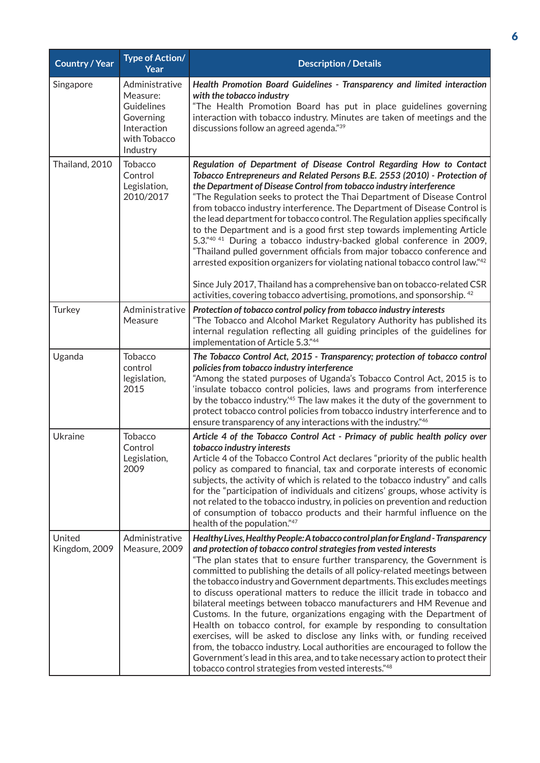| <b>Country / Year</b>   | Type of Action/<br>Year                                                                          | <b>Description / Details</b>                                                                                                                                                                                                                                                                                                                                                                                                                                                                                                                                                                                                                                                                                                                                                                                                                                                                                                                                                                       |
|-------------------------|--------------------------------------------------------------------------------------------------|----------------------------------------------------------------------------------------------------------------------------------------------------------------------------------------------------------------------------------------------------------------------------------------------------------------------------------------------------------------------------------------------------------------------------------------------------------------------------------------------------------------------------------------------------------------------------------------------------------------------------------------------------------------------------------------------------------------------------------------------------------------------------------------------------------------------------------------------------------------------------------------------------------------------------------------------------------------------------------------------------|
| Singapore               | Administrative<br>Measure:<br>Guidelines<br>Governing<br>Interaction<br>with Tobacco<br>Industry | Health Promotion Board Guidelines - Transparency and limited interaction<br>with the tobacco industry<br>"The Health Promotion Board has put in place guidelines governing<br>interaction with tobacco industry. Minutes are taken of meetings and the<br>discussions follow an agreed agenda."39                                                                                                                                                                                                                                                                                                                                                                                                                                                                                                                                                                                                                                                                                                  |
| Thailand, 2010          | Tobacco<br>Control<br>Legislation,<br>2010/2017                                                  | Regulation of Department of Disease Control Regarding How to Contact<br>Tobacco Entrepreneurs and Related Persons B.E. 2553 (2010) - Protection of<br>the Department of Disease Control from tobacco industry interference<br>"The Regulation seeks to protect the Thai Department of Disease Control<br>from tobacco industry interference. The Department of Disease Control is<br>the lead department for tobacco control. The Regulation applies specifically<br>to the Department and is a good first step towards implementing Article<br>5.3."40 41 During a tobacco industry-backed global conference in 2009,<br>"Thailand pulled government officials from major tobacco conference and<br>arrested exposition organizers for violating national tobacco control law."42<br>Since July 2017, Thailand has a comprehensive ban on tobacco-related CSR<br>activities, covering tobacco advertising, promotions, and sponsorship. 42                                                        |
| Turkey                  | Administrative<br>Measure                                                                        | Protection of tobacco control policy from tobacco industry interests<br>"The Tobacco and Alcohol Market Regulatory Authority has published its<br>internal regulation reflecting all guiding principles of the guidelines for<br>implementation of Article 5.3."44                                                                                                                                                                                                                                                                                                                                                                                                                                                                                                                                                                                                                                                                                                                                 |
| Uganda                  | <b>Tobacco</b><br>control<br>legislation,<br>2015                                                | The Tobacco Control Act, 2015 - Transparency; protection of tobacco control<br>policies from tobacco industry interference<br>"Among the stated purposes of Uganda's Tobacco Control Act, 2015 is to<br>'insulate tobacco control policies, laws and programs from interference<br>by the tobacco industry. <sup>45</sup> The law makes it the duty of the government to<br>protect tobacco control policies from tobacco industry interference and to<br>ensure transparency of any interactions with the industry."46                                                                                                                                                                                                                                                                                                                                                                                                                                                                            |
| Ukraine                 | Tobacco<br>Control<br>Legislation,<br>2009                                                       | Article 4 of the Tobacco Control Act - Primacy of public health policy over<br>tobacco industry interests<br>Article 4 of the Tobacco Control Act declares "priority of the public health<br>policy as compared to financial, tax and corporate interests of economic<br>subjects, the activity of which is related to the tobacco industry" and calls<br>for the "participation of individuals and citizens' groups, whose activity is<br>not related to the tobacco industry, in policies on prevention and reduction<br>of consumption of tobacco products and their harmful influence on the<br>health of the population."47                                                                                                                                                                                                                                                                                                                                                                   |
| United<br>Kingdom, 2009 | Administrative<br>Measure, 2009                                                                  | Healthy Lives, Healthy People: A tobacco control plan for England - Transparency<br>and protection of tobacco control strategies from vested interests<br>"The plan states that to ensure further transparency, the Government is<br>committed to publishing the details of all policy-related meetings between<br>the tobacco industry and Government departments. This excludes meetings<br>to discuss operational matters to reduce the illicit trade in tobacco and<br>bilateral meetings between tobacco manufacturers and HM Revenue and<br>Customs. In the future, organizations engaging with the Department of<br>Health on tobacco control, for example by responding to consultation<br>exercises, will be asked to disclose any links with, or funding received<br>from, the tobacco industry. Local authorities are encouraged to follow the<br>Government's lead in this area, and to take necessary action to protect their<br>tobacco control strategies from vested interests."48 |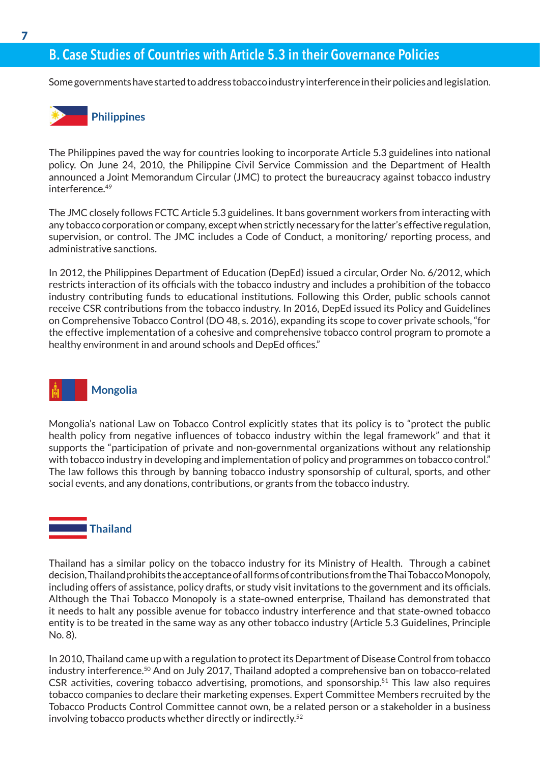## B. Case Studies of Countries with Article 5.3 in their Governance Policies

Some governments have started to address tobacco industry interference in their policies and legislation.



The Philippines paved the way for countries looking to incorporate Article 5.3 guidelines into national policy. On June 24, 2010, the Philippine Civil Service Commission and the Department of Health announced a Joint Memorandum Circular (JMC) to protect the bureaucracy against tobacco industry interference<sup>49</sup>

The JMC closely follows FCTC Article 5.3 guidelines. It bans government workers from interacting with any tobacco corporation or company, except when strictly necessary for the latter's effective regulation, supervision, or control. The JMC includes a Code of Conduct, a monitoring/ reporting process, and administrative sanctions.

In 2012, the Philippines Department of Education (DepEd) issued a circular, Order No. 6/2012, which restricts interaction of its officials with the tobacco industry and includes a prohibition of the tobacco industry contributing funds to educational institutions. Following this Order, public schools cannot receive CSR contributions from the tobacco industry. In 2016, DepEd issued its Policy and Guidelines on Comprehensive Tobacco Control (DO 48, s. 2016), expanding its scope to cover private schools, "for the effective implementation of a cohesive and comprehensive tobacco control program to promote a healthy environment in and around schools and DepEd offices."



Mongolia's national Law on Tobacco Control explicitly states that its policy is to "protect the public health policy from negative influences of tobacco industry within the legal framework" and that it supports the "participation of private and non-governmental organizations without any relationship with tobacco industry in developing and implementation of policy and programmes on tobacco control." The law follows this through by banning tobacco industry sponsorship of cultural, sports, and other social events, and any donations, contributions, or grants from the tobacco industry.

#### **Thailand**

Thailand has a similar policy on the tobacco industry for its Ministry of Health. Through a cabinet decision, Thailand prohibits the acceptance of all forms of contributions from the Thai Tobacco Monopoly, including offers of assistance, policy drafts, or study visit invitations to the government and its officials. Although the Thai Tobacco Monopoly is a state-owned enterprise, Thailand has demonstrated that it needs to halt any possible avenue for tobacco industry interference and that state-owned tobacco entity is to be treated in the same way as any other tobacco industry (Article 5.3 Guidelines, Principle No. 8).

In 2010, Thailand came up with a regulation to protect its Department of Disease Control from tobacco industry interference.50 And on July 2017, Thailand adopted a comprehensive ban on tobacco-related CSR activities, covering tobacco advertising, promotions, and sponsorship.<sup>51</sup> This law also requires tobacco companies to declare their marketing expenses. Expert Committee Members recruited by the Tobacco Products Control Committee cannot own, be a related person or a stakeholder in a business involving tobacco products whether directly or indirectly.52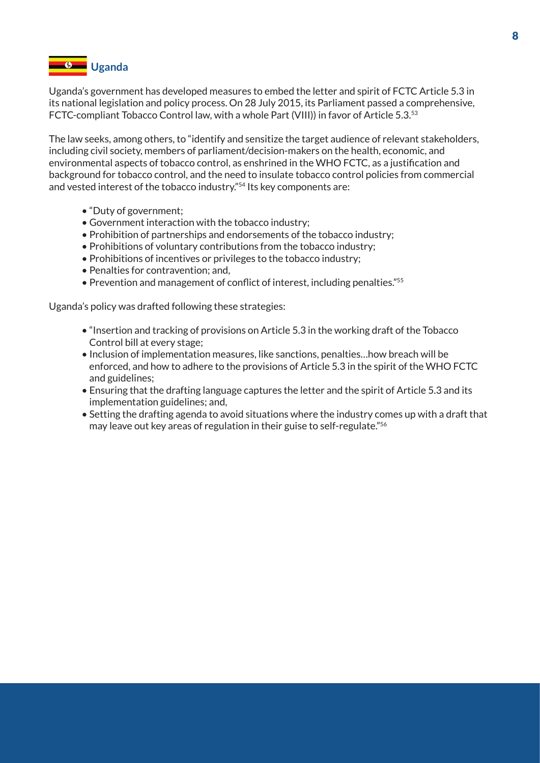

Uganda's government has developed measures to embed the letter and spirit of FCTC Article 5.3 in its national legislation and policy process. On 28 July 2015, its Parliament passed a comprehensive, FCTC-compliant Tobacco Control law, with a whole Part (VIII)) in favor of Article 5.3.53

The law seeks, among others, to "identify and sensitize the target audience of relevant stakeholders, including civil society, members of parliament/decision-makers on the health, economic, and environmental aspects of tobacco control, as enshrined in the WHO FCTC, as a justification and background for tobacco control, and the need to insulate tobacco control policies from commercial and vested interest of the tobacco industry."54 Its key components are:

- "Duty of government;
- Government interaction with the tobacco industry;
- Prohibition of partnerships and endorsements of the tobacco industry;
- Prohibitions of voluntary contributions from the tobacco industry;
- Prohibitions of incentives or privileges to the tobacco industry;
- Penalties for contravention; and,
- Prevention and management of conflict of interest, including penalties."<sup>55</sup>

Uganda's policy was drafted following these strategies:

- "Insertion and tracking of provisions on Article 5.3 in the working draft of the Tobacco Control bill at every stage;
- Inclusion of implementation measures, like sanctions, penalties…how breach will be enforced, and how to adhere to the provisions of Article 5.3 in the spirit of the WHO FCTC and guidelines;
- Ensuring that the drafting language captures the letter and the spirit of Article 5.3 and its implementation guidelines; and,
- Setting the drafting agenda to avoid situations where the industry comes up with a draft that may leave out key areas of regulation in their guise to self-regulate."56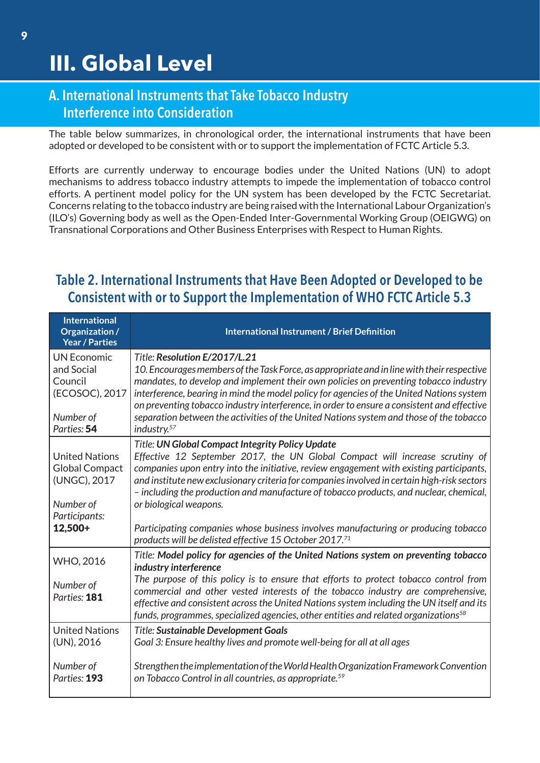### A. International Instruments that Take Tobacco Industry Interference into Consideration

The table below summarizes, in chronological order, the international instruments that have been adopted or developed to be consistent with or to support the implementation of FCTC Article 5.3.

Efforts are currently underway to encourage bodies under the United Nations (UN) to adopt mechanisms to address tobacco industry attempts to impede the implementation of tobacco control efforts. A pertinent model policy for the UN system has been developed by the FCTC Secretariat. Concerns relating to the tobacco industry are being raised with the International Labour Organization's (ILO's) Governing body as well as the Open-Ended Inter-Governmental Working Group (OEIGWG) on Transnational Corporations and Other Business Enterprises with Respect to Human Rights.

# Table 2. International Instruments that Have Been Adopted or Developed to be Consistent with or to Support the Implementation of WHO FCTC Article 5.3

| <b>International</b><br>Organization /<br><b>Year / Parties</b>                              | <b>International Instrument / Brief Definition</b>                                                                                                                                                                                                                                                                                                                                                                                                                                                                                  |
|----------------------------------------------------------------------------------------------|-------------------------------------------------------------------------------------------------------------------------------------------------------------------------------------------------------------------------------------------------------------------------------------------------------------------------------------------------------------------------------------------------------------------------------------------------------------------------------------------------------------------------------------|
| <b>UN Economic</b><br>and Social<br>Council<br>(ECOSOC), 2017<br>Number of<br>Parties: 54    | Title: Resolution E/2017/L.21<br>10. Encourages members of the Task Force, as appropriate and in line with their respective<br>mandates, to develop and implement their own policies on preventing tobacco industry<br>interference, bearing in mind the model policy for agencies of the United Nations system<br>on preventing tobacco industry interference, in order to ensure a consistent and effective<br>separation between the activities of the United Nations system and those of the tobacco<br>industry. <sup>57</sup> |
| <b>United Nations</b><br><b>Global Compact</b><br>(UNGC), 2017<br>Number of<br>Participants: | <b>Title: UN Global Compact Integrity Policy Update</b><br>Effective 12 September 2017, the UN Global Compact will increase scrutiny of<br>companies upon entry into the initiative, review engagement with existing participants,<br>and institute new exclusionary criteria for companies involved in certain high-risk sectors<br>- including the production and manufacture of tobacco products, and nuclear, chemical,<br>or biological weapons.                                                                               |
| 12,500+                                                                                      | Participating companies whose business involves manufacturing or producing tobacco<br>products will be delisted effective 15 October 2017.71                                                                                                                                                                                                                                                                                                                                                                                        |
| WHO, 2016<br>Number of<br>Parties: 181                                                       | Title: Model policy for agencies of the United Nations system on preventing tobacco<br>industry interference<br>The purpose of this policy is to ensure that efforts to protect tobacco control from<br>commercial and other vested interests of the tobacco industry are comprehensive,<br>effective and consistent across the United Nations system including the UN itself and its<br>funds, programmes, specialized agencies, other entities and related organizations <sup>58</sup>                                            |
| <b>United Nations</b><br>(UN), 2016<br>Number of<br>Parties: 193                             | <b>Title: Sustainable Development Goals</b><br>Goal 3: Ensure healthy lives and promote well-being for all at all ages<br>Strengthen the implementation of the World Health Organization Framework Convention<br>on Tobacco Control in all countries, as appropriate. <sup>59</sup>                                                                                                                                                                                                                                                 |
|                                                                                              |                                                                                                                                                                                                                                                                                                                                                                                                                                                                                                                                     |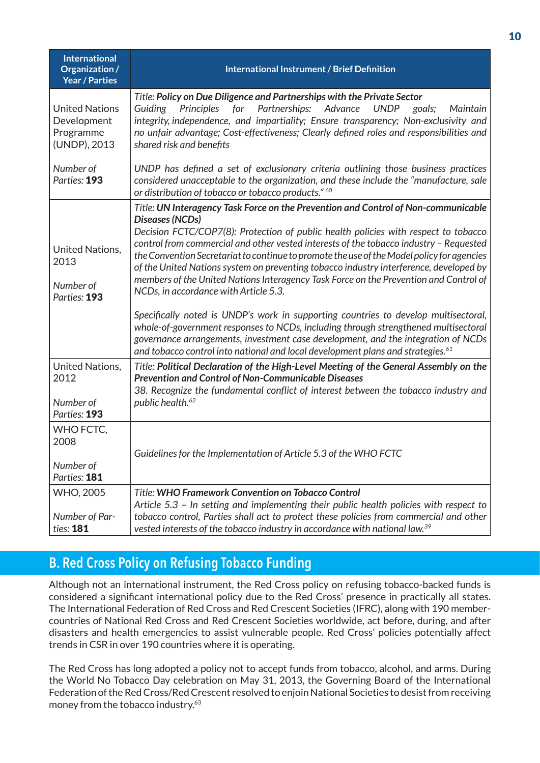| <b>International</b><br>Organization /<br><b>Year / Parties</b>   | <b>International Instrument / Brief Definition</b>                                                                                                                                                                                                                                                                                                                                                                                                                                                                                                                                                               |
|-------------------------------------------------------------------|------------------------------------------------------------------------------------------------------------------------------------------------------------------------------------------------------------------------------------------------------------------------------------------------------------------------------------------------------------------------------------------------------------------------------------------------------------------------------------------------------------------------------------------------------------------------------------------------------------------|
| <b>United Nations</b><br>Development<br>Programme<br>(UNDP), 2013 | Title: Policy on Due Diligence and Partnerships with the Private Sector<br>Principles<br>for Partnerships: Advance<br>Guiding<br><b>UNDP</b><br>Maintain<br>goals;<br>integrity, independence, and impartiality; Ensure transparency; Non-exclusivity and<br>no unfair advantage; Cost-effectiveness; Clearly defined roles and responsibilities and<br>shared risk and benefits                                                                                                                                                                                                                                 |
| Number of<br>Parties: 193                                         | UNDP has defined a set of exclusionary criteria outlining those business practices<br>considered unacceptable to the organization, and these include the "manufacture, sale<br>or distribution of tobacco or tobacco products." 60                                                                                                                                                                                                                                                                                                                                                                               |
| <b>United Nations,</b><br>2013<br>Number of<br>Parties: 193       | Title: UN Interagency Task Force on the Prevention and Control of Non-communicable<br>Diseases (NCDs)<br>Decision FCTC/COP7(8): Protection of public health policies with respect to tobacco<br>control from commercial and other vested interests of the tobacco industry - Requested<br>the Convention Secretariat to continue to promote the use of the Model policy for agencies<br>of the United Nations system on preventing tobacco industry interference, developed by<br>members of the United Nations Interagency Task Force on the Prevention and Control of<br>NCDs, in accordance with Article 5.3. |
|                                                                   | Specifically noted is UNDP's work in supporting countries to develop multisectoral,<br>whole-of-government responses to NCDs, including through strengthened multisectoral<br>governance arrangements, investment case development, and the integration of NCDs<br>and tobacco control into national and local development plans and strategies. <sup>61</sup>                                                                                                                                                                                                                                                   |
| United Nations,<br>2012<br>Number of<br>Parties: 193              | Title: Political Declaration of the High-Level Meeting of the General Assembly on the<br><b>Prevention and Control of Non-Communicable Diseases</b><br>38. Recognize the fundamental conflict of interest between the tobacco industry and<br>public health. <sup>62</sup>                                                                                                                                                                                                                                                                                                                                       |
| WHO FCTC.<br>2008<br>Number of<br>Parties: 181                    | Guidelines for the Implementation of Article 5.3 of the WHO FCTC                                                                                                                                                                                                                                                                                                                                                                                                                                                                                                                                                 |
| <b>WHO, 2005</b><br>Number of Par-<br>ties: 181                   | Title: WHO Framework Convention on Tobacco Control<br>Article 5.3 - In setting and implementing their public health policies with respect to<br>tobacco control, Parties shall act to protect these policies from commercial and other<br>vested interests of the tobacco industry in accordance with national law. <sup>39</sup>                                                                                                                                                                                                                                                                                |

# B. Red Cross Policy on Refusing Tobacco Funding

Although not an international instrument, the Red Cross policy on refusing tobacco-backed funds is considered a significant international policy due to the Red Cross' presence in practically all states. The International Federation of Red Cross and Red Crescent Societies (IFRC), along with 190 membercountries of National Red Cross and Red Crescent Societies worldwide, act before, during, and after disasters and health emergencies to assist vulnerable people. Red Cross' policies potentially affect trends in CSR in over 190 countries where it is operating.

The Red Cross has long adopted a policy not to accept funds from tobacco, alcohol, and arms. During the World No Tobacco Day celebration on May 31, 2013, the Governing Board of the International Federation of the Red Cross/Red Crescent resolved to enjoin National Societies to desist from receiving money from the tobacco industry.63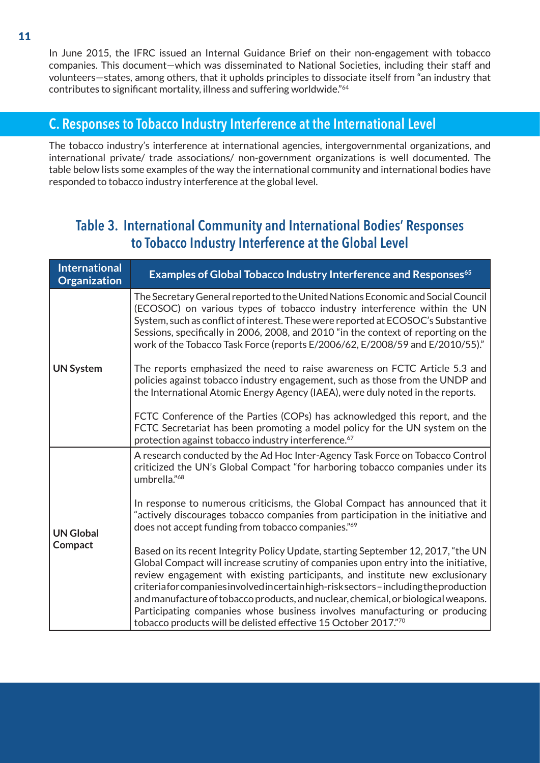In June 2015, the IFRC issued an Internal Guidance Brief on their non-engagement with tobacco companies. This document—which was disseminated to National Societies, including their staff and volunteers—states, among others, that it upholds principles to dissociate itself from "an industry that contributes to significant mortality, illness and suffering worldwide."<sup>64</sup>

#### C. Responses to Tobacco Industry Interference at the International Level

The tobacco industry's interference at international agencies, intergovernmental organizations, and international private/ trade associations/ non-government organizations is well documented. The table below lists some examples of the way the international community and international bodies have responded to tobacco industry interference at the global level.

### Table 3. International Community and International Bodies' Responses to Tobacco Industry Interference at the Global Level

| <b>International</b><br><b>Organization</b> | Examples of Global Tobacco Industry Interference and Responses <sup>65</sup>                                                                                                                                                                                                                                                                                                                                                                                                                                                                                                            |
|---------------------------------------------|-----------------------------------------------------------------------------------------------------------------------------------------------------------------------------------------------------------------------------------------------------------------------------------------------------------------------------------------------------------------------------------------------------------------------------------------------------------------------------------------------------------------------------------------------------------------------------------------|
| <b>UN System</b>                            | The Secretary General reported to the United Nations Economic and Social Council<br>(ECOSOC) on various types of tobacco industry interference within the UN<br>System, such as conflict of interest. These were reported at ECOSOC's Substantive<br>Sessions, specifically in 2006, 2008, and 2010 "in the context of reporting on the<br>work of the Tobacco Task Force (reports E/2006/62, E/2008/59 and E/2010/55)."                                                                                                                                                                |
|                                             | The reports emphasized the need to raise awareness on FCTC Article 5.3 and<br>policies against tobacco industry engagement, such as those from the UNDP and<br>the International Atomic Energy Agency (IAEA), were duly noted in the reports.                                                                                                                                                                                                                                                                                                                                           |
|                                             | FCTC Conference of the Parties (COPs) has acknowledged this report, and the<br>FCTC Secretariat has been promoting a model policy for the UN system on the<br>protection against tobacco industry interference. <sup>67</sup>                                                                                                                                                                                                                                                                                                                                                           |
| <b>UN Global</b><br>Compact                 | A research conducted by the Ad Hoc Inter-Agency Task Force on Tobacco Control<br>criticized the UN's Global Compact "for harboring tobacco companies under its<br>umbrella."68                                                                                                                                                                                                                                                                                                                                                                                                          |
|                                             | In response to numerous criticisms, the Global Compact has announced that it<br>"actively discourages tobacco companies from participation in the initiative and<br>does not accept funding from tobacco companies."69                                                                                                                                                                                                                                                                                                                                                                  |
|                                             | Based on its recent Integrity Policy Update, starting September 12, 2017, "the UN<br>Global Compact will increase scrutiny of companies upon entry into the initiative,<br>review engagement with existing participants, and institute new exclusionary<br>criteriafor companies involved incertain high-risk sectors - including the production<br>and manufacture of tobacco products, and nuclear, chemical, or biological weapons.<br>Participating companies whose business involves manufacturing or producing<br>tobacco products will be delisted effective 15 October 2017."70 |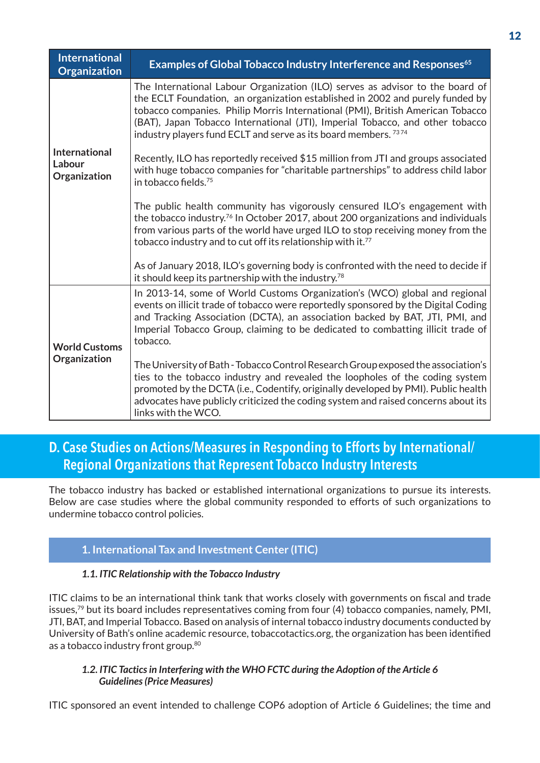| <b>International</b><br><b>Organization</b> | Examples of Global Tobacco Industry Interference and Responses <sup>65</sup>                                                                                                                                                                                                                                                                                                                                    |
|---------------------------------------------|-----------------------------------------------------------------------------------------------------------------------------------------------------------------------------------------------------------------------------------------------------------------------------------------------------------------------------------------------------------------------------------------------------------------|
|                                             | The International Labour Organization (ILO) serves as advisor to the board of<br>the ECLT Foundation, an organization established in 2002 and purely funded by<br>tobacco companies. Philip Morris International (PMI), British American Tobacco<br>(BAT), Japan Tobacco International (JTI), Imperial Tobacco, and other tobacco<br>industry players fund ECLT and serve as its board members. <sup>7374</sup> |
| International<br>Labour<br>Organization     | Recently, ILO has reportedly received \$15 million from JTI and groups associated<br>with huge tobacco companies for "charitable partnerships" to address child labor<br>in tobacco fields. <sup>75</sup>                                                                                                                                                                                                       |
|                                             | The public health community has vigorously censured ILO's engagement with<br>the tobacco industry. <sup>76</sup> In October 2017, about 200 organizations and individuals<br>from various parts of the world have urged ILO to stop receiving money from the<br>tobacco industry and to cut off its relationship with it. <sup>77</sup>                                                                         |
|                                             | As of January 2018, ILO's governing body is confronted with the need to decide if<br>it should keep its partnership with the industry. <sup>78</sup>                                                                                                                                                                                                                                                            |
| <b>World Customs</b><br>Organization        | In 2013-14, some of World Customs Organization's (WCO) global and regional<br>events on illicit trade of tobacco were reportedly sponsored by the Digital Coding<br>and Tracking Association (DCTA), an association backed by BAT, JTI, PMI, and<br>Imperial Tobacco Group, claiming to be dedicated to combatting illicit trade of<br>tobacco.                                                                 |
|                                             | The University of Bath - Tobacco Control Research Group exposed the association's<br>ties to the tobacco industry and revealed the loopholes of the coding system<br>promoted by the DCTA (i.e., Codentify, originally developed by PMI). Public health<br>advocates have publicly criticized the coding system and raised concerns about its<br>links with the WCO.                                            |

### D. Case Studies on Actions/Measures in Responding to Efforts by International/ Regional Organizations that Represent Tobacco Industry Interests

The tobacco industry has backed or established international organizations to pursue its interests. Below are case studies where the global community responded to efforts of such organizations to undermine tobacco control policies.

#### **1. International Tax and Investment Center (ITIC)**

#### *1.1. ITIC Relationship with the Tobacco Industry*

ITIC claims to be an international think tank that works closely with governments on fiscal and trade issues,<sup>79</sup> but its board includes representatives coming from four (4) tobacco companies, namely, PMI, JTI, BAT, and Imperial Tobacco. Based on analysis of internal tobacco industry documents conducted by University of Bath's online academic resource, tobaccotactics.org, the organization has been identified as a tobacco industry front group.<sup>80</sup>

#### *1.2. ITIC Tactics in Interfering with the WHO FCTC during the Adoption of the Article 6 Guidelines (Price Measures)*

ITIC sponsored an event intended to challenge COP6 adoption of Article 6 Guidelines; the time and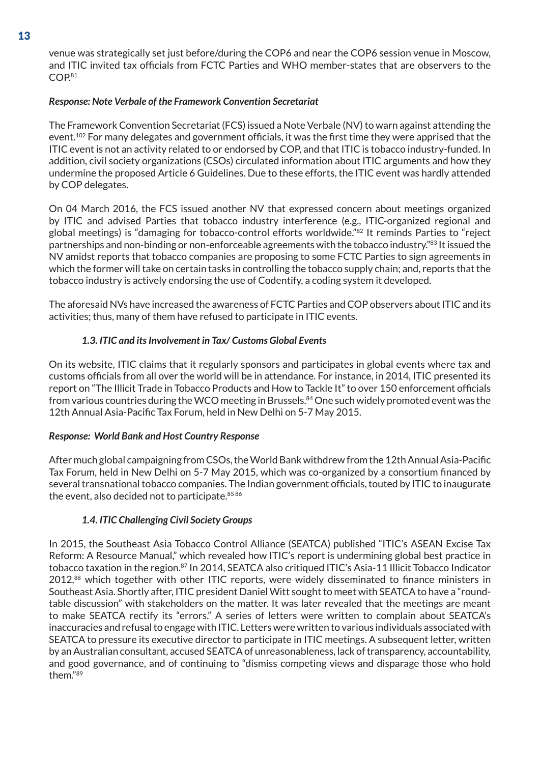venue was strategically set just before/during the COP6 and near the COP6 session venue in Moscow, and ITIC invited tax officials from FCTC Parties and WHO member-states that are observers to the COP.81

#### *Response: Note Verbale of the Framework Convention Secretariat*

The Framework Convention Secretariat (FCS) issued a Note Verbale (NV) to warn against attending the event.102 For many delegates and government officials, it was the first time they were apprised that the ITIC event is not an activity related to or endorsed by COP, and that ITIC is tobacco industry-funded. In addition, civil society organizations (CSOs) circulated information about ITIC arguments and how they undermine the proposed Article 6 Guidelines. Due to these efforts, the ITIC event was hardly attended by COP delegates.

On 04 March 2016, the FCS issued another NV that expressed concern about meetings organized by ITIC and advised Parties that tobacco industry interference (e.g., ITIC-organized regional and global meetings) is "damaging for tobacco-control efforts worldwide."82 It reminds Parties to "reject partnerships and non-binding or non-enforceable agreements with the tobacco industry."83 It issued the NV amidst reports that tobacco companies are proposing to some FCTC Parties to sign agreements in which the former will take on certain tasks in controlling the tobacco supply chain; and, reports that the tobacco industry is actively endorsing the use of Codentify, a coding system it developed.

The aforesaid NVs have increased the awareness of FCTC Parties and COP observers about ITIC and its activities; thus, many of them have refused to participate in ITIC events.

#### *1.3. ITIC and its Involvement in Tax/ Customs Global Events*

On its website, ITIC claims that it regularly sponsors and participates in global events where tax and customs officials from all over the world will be in attendance. For instance, in 2014, ITIC presented its report on "The Illicit Trade in Tobacco Products and How to Tackle It" to over 150 enforcement officials from various countries during the WCO meeting in Brussels.<sup>84</sup> One such widely promoted event was the 12th Annual Asia-Pacific Tax Forum, held in New Delhi on 5-7 May 2015.

#### *Response: World Bank and Host Country Response*

After much global campaigning from CSOs, the World Bank withdrew from the 12th Annual Asia-Pacific Tax Forum, held in New Delhi on 5-7 May 2015, which was co-organized by a consortium financed by several transnational tobacco companies. The Indian government officials, touted by ITIC to inaugurate the event, also decided not to participate. 85 86

#### *1.4. ITIC Challenging Civil Society Groups*

In 2015, the Southeast Asia Tobacco Control Alliance (SEATCA) published "ITIC's ASEAN Excise Tax Reform: A Resource Manual," which revealed how ITIC's report is undermining global best practice in tobacco taxation in the region.<sup>87</sup> In 2014, SEATCA also critiqued ITIC's Asia-11 Illicit Tobacco Indicator 2012,<sup>88</sup> which together with other ITIC reports, were widely disseminated to finance ministers in Southeast Asia. Shortly after, ITIC president Daniel Witt sought to meet with SEATCA to have a "roundtable discussion" with stakeholders on the matter. It was later revealed that the meetings are meant to make SEATCA rectify its "errors." A series of letters were written to complain about SEATCA's inaccuracies and refusal to engage with ITIC. Letters were written to various individuals associated with SEATCA to pressure its executive director to participate in ITIC meetings. A subsequent letter, written by an Australian consultant, accused SEATCA of unreasonableness, lack of transparency, accountability, and good governance, and of continuing to "dismiss competing views and disparage those who hold them."89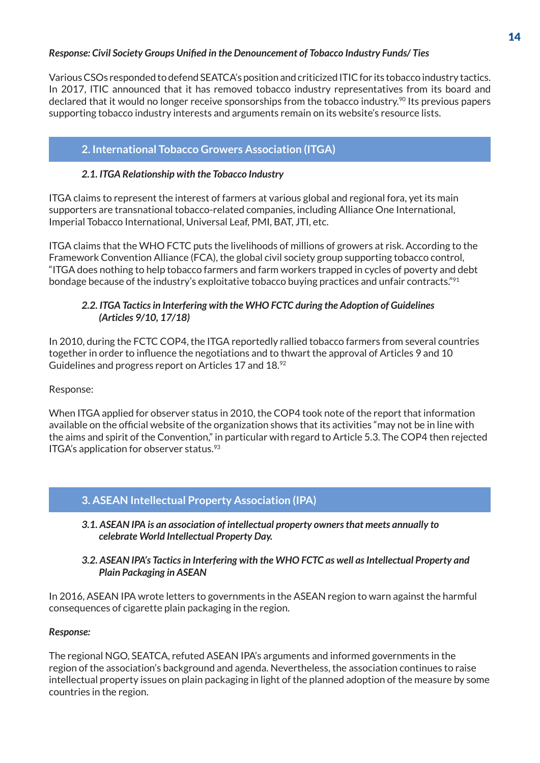#### *Response: Civil Society Groups Unified in the Denouncement of Tobacco Industry Funds/ Ties*

Various CSOs responded to defend SEATCA's position and criticized ITIC for its tobacco industry tactics. In 2017, ITIC announced that it has removed tobacco industry representatives from its board and declared that it would no longer receive sponsorships from the tobacco industry.<sup>90</sup> Its previous papers supporting tobacco industry interests and arguments remain on its website's resource lists.

#### **2. International Tobacco Growers Association (ITGA)**

#### *2.1. ITGA Relationship with the Tobacco Industry*

ITGA claims to represent the interest of farmers at various global and regional fora, yet its main supporters are transnational tobacco-related companies, including Alliance One International, Imperial Tobacco International, Universal Leaf, PMI, BAT, JTI, etc.

ITGA claims that the WHO FCTC puts the livelihoods of millions of growers at risk. According to the Framework Convention Alliance (FCA), the global civil society group supporting tobacco control, "ITGA does nothing to help tobacco farmers and farm workers trapped in cycles of poverty and debt bondage because of the industry's exploitative tobacco buying practices and unfair contracts."91

#### *2.2. ITGA Tactics in Interfering with the WHO FCTC during the Adoption of Guidelines (Articles 9/10, 17/18)*

In 2010, during the FCTC COP4, the ITGA reportedly rallied tobacco farmers from several countries together in order to influence the negotiations and to thwart the approval of Articles 9 and 10 Guidelines and progress report on Articles 17 and 18.<sup>92</sup>

Response:

When ITGA applied for observer status in 2010, the COP4 took note of the report that information available on the official website of the organization shows that its activities "may not be in line with the aims and spirit of the Convention," in particular with regard to Article 5.3. The COP4 then rejected ITGA's application for observer status.<sup>93</sup>

#### **3. ASEAN Intellectual Property Association (IPA)**

*3.1. ASEAN IPA is an association of intellectual property owners that meets annually to celebrate World Intellectual Property Day.* 

#### *3.2. ASEAN IPA's Tactics in Interfering with the WHO FCTC as well as Intellectual Property and Plain Packaging in ASEAN*

In 2016, ASEAN IPA wrote letters to governments in the ASEAN region to warn against the harmful consequences of cigarette plain packaging in the region.

#### *Response:*

The regional NGO, SEATCA, refuted ASEAN IPA's arguments and informed governments in the region of the association's background and agenda. Nevertheless, the association continues to raise intellectual property issues on plain packaging in light of the planned adoption of the measure by some countries in the region.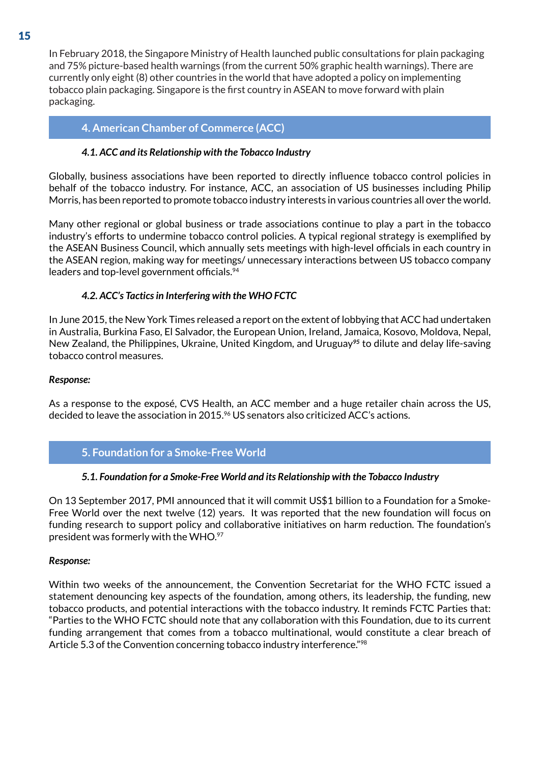In February 2018, the Singapore Ministry of Health launched public consultations for plain packaging and 75% picture-based health warnings (from the current 50% graphic health warnings). There are currently only eight (8) other countries in the world that have adopted a policy on implementing tobacco plain packaging. Singapore is the first country in ASEAN to move forward with plain packaging.

#### **4. American Chamber of Commerce (ACC)**

#### *4.1. ACC and its Relationship with the Tobacco Industry*

Globally, business associations have been reported to directly influence tobacco control policies in behalf of the tobacco industry. For instance, ACC, an association of US businesses including Philip Morris, has been reported to promote tobacco industry interests in various countries all over the world.

Many other regional or global business or trade associations continue to play a part in the tobacco industry's efforts to undermine tobacco control policies. A typical regional strategy is exemplified by the ASEAN Business Council, which annually sets meetings with high-level officials in each country in the ASEAN region, making way for meetings/ unnecessary interactions between US tobacco company leaders and top-level government officials.<sup>94</sup>

#### *4.2. ACC's Tactics in Interfering with the WHO FCTC*

In June 2015, the New York Times released a report on the extent of lobbying that ACC had undertaken in Australia, Burkina Faso, El Salvador, the European Union, Ireland, Jamaica, Kosovo, Moldova, Nepal, New Zealand, the Philippines, Ukraine, United Kingdom, and Uruguay*95* to dilute and delay life-saving tobacco control measures.

#### *Response:*

As a response to the exposé, CVS Health, an ACC member and a huge retailer chain across the US, decided to leave the association in 2015.<sup>96</sup> US senators also criticized ACC's actions.

#### **5. Foundation for a Smoke-Free World**

#### *5.1. Foundation for a Smoke-Free World and its Relationship with the Tobacco Industry*

On 13 September 2017, PMI announced that it will commit US\$1 billion to a Foundation for a Smoke-Free World over the next twelve (12) years. It was reported that the new foundation will focus on funding research to support policy and collaborative initiatives on harm reduction. The foundation's president was formerly with the WHO.97

#### *Response:*

Within two weeks of the announcement, the Convention Secretariat for the WHO FCTC issued a statement denouncing key aspects of the foundation, among others, its leadership, the funding, new tobacco products, and potential interactions with the tobacco industry. It reminds FCTC Parties that: "Parties to the WHO FCTC should note that any collaboration with this Foundation, due to its current funding arrangement that comes from a tobacco multinational, would constitute a clear breach of Article 5.3 of the Convention concerning tobacco industry interference."<sup>98</sup>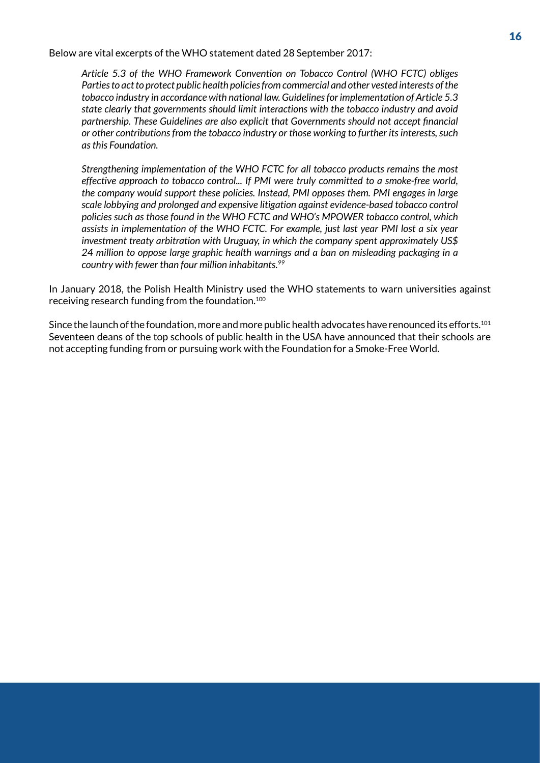Below are vital excerpts of the WHO statement dated 28 September 2017:

*Article 5.3 of the WHO Framework Convention on Tobacco Control (WHO FCTC) obliges Parties to act to protect public health policies from commercial and other vested interests of the tobacco industry in accordance with national law. Guidelines for implementation of Article 5.3 state clearly that governments should limit interactions with the tobacco industry and avoid partnership. These Guidelines are also explicit that Governments should not accept financial or other contributions from the tobacco industry or those working to further its interests, such as this Foundation.* 

*Strengthening implementation of the WHO FCTC for all tobacco products remains the most effective approach to tobacco control... If PMI were truly committed to a smoke-free world, the company would support these policies. Instead, PMI opposes them. PMI engages in large scale lobbying and prolonged and expensive litigation against evidence-based tobacco control policies such as those found in the WHO FCTC and WHO's MPOWER tobacco control, which assists in implementation of the WHO FCTC. For example, just last year PMI lost a six year investment treaty arbitration with Uruguay, in which the company spent approximately US\$ 24 million to oppose large graphic health warnings and a ban on misleading packaging in a country with fewer than four million inhabitants.99*

In January 2018, the Polish Health Ministry used the WHO statements to warn universities against receiving research funding from the foundation.100

Since the launch of the foundation, more and more public health advocates have renounced its efforts.101 Seventeen deans of the top schools of public health in the USA have announced that their schools are not accepting funding from or pursuing work with the Foundation for a Smoke-Free World.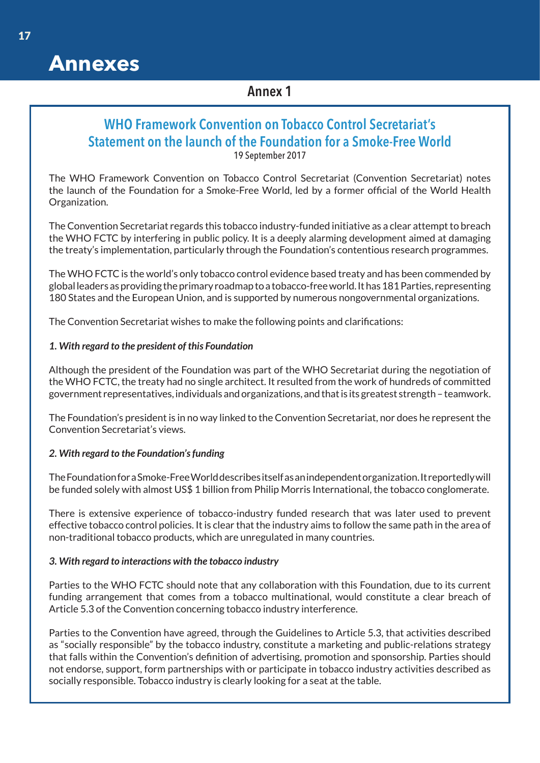# **Annexes**

#### Annex 1

#### WHO Framework Convention on Tobacco Control Secretariat's Statement on the launch of the Foundation for a Smoke-Free World 19 September 2017

The WHO Framework Convention on Tobacco Control Secretariat (Convention Secretariat) notes the launch of the Foundation for a Smoke-Free World, led by a former official of the World Health Organization.

The Convention Secretariat regards this tobacco industry-funded initiative as a clear attempt to breach the WHO FCTC by interfering in public policy. It is a deeply alarming development aimed at damaging the treaty's implementation, particularly through the Foundation's contentious research programmes.

The WHO FCTC is the world's only tobacco control evidence based treaty and has been commended by global leaders as providing the primary roadmap to a tobacco-free world. It has 181 Parties, representing 180 States and the European Union, and is supported by numerous nongovernmental organizations.

The Convention Secretariat wishes to make the following points and clarifications:

#### *1. With regard to the president of this Foundation*

Although the president of the Foundation was part of the WHO Secretariat during the negotiation of the WHO FCTC, the treaty had no single architect. It resulted from the work of hundreds of committed government representatives, individuals and organizations, and that is its greatest strength – teamwork.

The Foundation's president is in no way linked to the Convention Secretariat, nor does he represent the Convention Secretariat's views.

#### *2. With regard to the Foundation's funding*

The Foundation for a Smoke-Free World describes itself as an independent organization. It reportedly will be funded solely with almost US\$ 1 billion from Philip Morris International, the tobacco conglomerate.

There is extensive experience of tobacco-industry funded research that was later used to prevent effective tobacco control policies. It is clear that the industry aims to follow the same path in the area of non-traditional tobacco products, which are unregulated in many countries.

#### *3. With regard to interactions with the tobacco industry*

Parties to the WHO FCTC should note that any collaboration with this Foundation, due to its current funding arrangement that comes from a tobacco multinational, would constitute a clear breach of Article 5.3 of the Convention concerning tobacco industry interference.

Parties to the Convention have agreed, through the Guidelines to Article 5.3, that activities described as "socially responsible" by the tobacco industry, constitute a marketing and public-relations strategy that falls within the Convention's definition of advertising, promotion and sponsorship. Parties should not endorse, support, form partnerships with or participate in tobacco industry activities described as socially responsible. Tobacco industry is clearly looking for a seat at the table.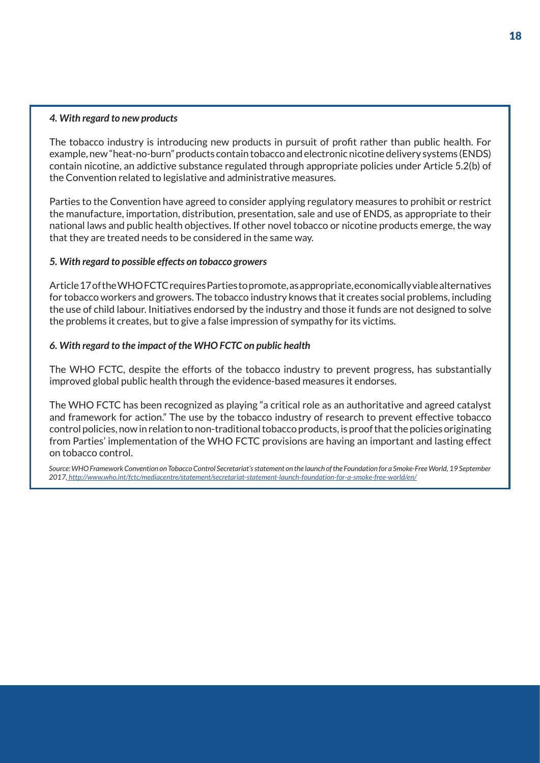#### *4. With regard to new products*

The tobacco industry is introducing new products in pursuit of profit rather than public health. For example, new "heat-no-burn" products contain tobacco and electronic nicotine delivery systems (ENDS) contain nicotine, an addictive substance regulated through appropriate policies under Article 5.2(b) of the Convention related to legislative and administrative measures.

Parties to the Convention have agreed to consider applying regulatory measures to prohibit or restrict the manufacture, importation, distribution, presentation, sale and use of ENDS, as appropriate to their national laws and public health objectives. If other novel tobacco or nicotine products emerge, the way that they are treated needs to be considered in the same way.

#### *5. With regard to possible effects on tobacco growers*

Article 17 of the WHO FCTC requires Parties to promote, as appropriate, economically viable alternatives for tobacco workers and growers. The tobacco industry knows that it creates social problems, including the use of child labour. Initiatives endorsed by the industry and those it funds are not designed to solve the problems it creates, but to give a false impression of sympathy for its victims.

#### *6. With regard to the impact of the WHO FCTC on public health*

The WHO FCTC, despite the efforts of the tobacco industry to prevent progress, has substantially improved global public health through the evidence-based measures it endorses.

The WHO FCTC has been recognized as playing "a critical role as an authoritative and agreed catalyst and framework for action." The use by the tobacco industry of research to prevent effective tobacco control policies, now in relation to non-traditional tobacco products, is proof that the policies originating from Parties' implementation of the WHO FCTC provisions are having an important and lasting effect on tobacco control.

*Source: WHO Framework Convention on Tobacco Control Secretariat's statement on the launch of the Foundation for a Smoke-Free World, 19 September 2017, http://www.who.int/fctc/mediacentre/statement/secretariat-statement-launch-foundation-for-a-smoke-free-world/en/*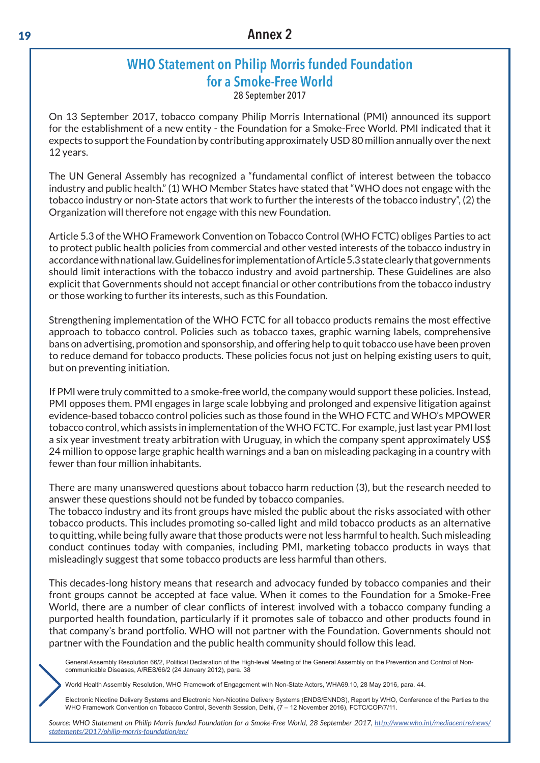# WHO Statement on Philip Morris funded Foundation for a Smoke-Free World

28 September 2017

On 13 September 2017, tobacco company Philip Morris International (PMI) announced its support for the establishment of a new entity - the Foundation for a Smoke-Free World. PMI indicated that it expects to support the Foundation by contributing approximately USD 80 million annually over the next 12 years.

The UN General Assembly has recognized a "fundamental conflict of interest between the tobacco industry and public health." (1) WHO Member States have stated that "WHO does not engage with the tobacco industry or non-State actors that work to further the interests of the tobacco industry", (2) the Organization will therefore not engage with this new Foundation.

Article 5.3 of the WHO Framework Convention on Tobacco Control (WHO FCTC) obliges Parties to act to protect public health policies from commercial and other vested interests of the tobacco industry in accordance with national law. Guidelines for implementation of Article 5.3 state clearly that governments should limit interactions with the tobacco industry and avoid partnership. These Guidelines are also explicit that Governments should not accept financial or other contributions from the tobacco industry or those working to further its interests, such as this Foundation.

Strengthening implementation of the WHO FCTC for all tobacco products remains the most effective approach to tobacco control. Policies such as tobacco taxes, graphic warning labels, comprehensive bans on advertising, promotion and sponsorship, and offering help to quit tobacco use have been proven to reduce demand for tobacco products. These policies focus not just on helping existing users to quit, but on preventing initiation.

If PMI were truly committed to a smoke-free world, the company would support these policies. Instead, PMI opposes them. PMI engages in large scale lobbying and prolonged and expensive litigation against evidence-based tobacco control policies such as those found in the WHO FCTC and WHO's MPOWER tobacco control, which assists in implementation of the WHO FCTC. For example, just last year PMI lost a six year investment treaty arbitration with Uruguay, in which the company spent approximately US\$ 24 million to oppose large graphic health warnings and a ban on misleading packaging in a country with fewer than four million inhabitants.

There are many unanswered questions about tobacco harm reduction (3), but the research needed to answer these questions should not be funded by tobacco companies.

The tobacco industry and its front groups have misled the public about the risks associated with other tobacco products. This includes promoting so-called light and mild tobacco products as an alternative to quitting, while being fully aware that those products were not less harmful to health. Such misleading conduct continues today with companies, including PMI, marketing tobacco products in ways that misleadingly suggest that some tobacco products are less harmful than others.

This decades-long history means that research and advocacy funded by tobacco companies and their front groups cannot be accepted at face value. When it comes to the Foundation for a Smoke-Free World, there are a number of clear conflicts of interest involved with a tobacco company funding a purported health foundation, particularly if it promotes sale of tobacco and other products found in that company's brand portfolio. WHO will not partner with the Foundation. Governments should not partner with the Foundation and the public health community should follow this lead.

General Assembly Resolution 66/2, Political Declaration of the High-level Meeting of the General Assembly on the Prevention and Control of Noncommunicable Diseases, A/RES/66/2 (24 January 2012), para. 38

World Health Assembly Resolution, WHO Framework of Engagement with Non-State Actors, WHA69.10, 28 May 2016, para. 44.

Electronic Nicotine Delivery Systems and Electronic Non-Nicotine Delivery Systems (ENDS/ENNDS), Report by WHO, Conference of the Parties to the WHO Framework Convention on Tobacco Control, Seventh Session, Delhi, (7 – 12 November 2016), FCTC/COP/7/11.

*Source: WHO Statement on Philip Morris funded Foundation for a Smoke-Free World, 28 September 2017, http://www.who.int/mediacentre/news/ statements/2017/philip-morris-foundation/en/*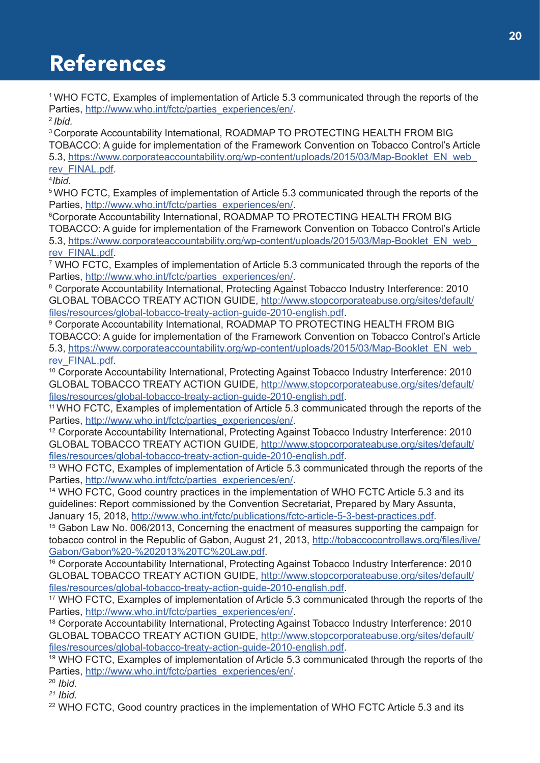# **References**

1 WHO FCTC, Examples of implementation of Article 5.3 communicated through the reports of the Parties, http://www.who.int/fctc/parties\_experiences/en/.

<sup>2</sup>*Ibid.*

<sup>3</sup> Corporate Accountability International, ROADMAP TO PROTECTING HEALTH FROM BIG TOBACCO: A guide for implementation of the Framework Convention on Tobacco Control's Article 5.3, https://www.corporateaccountability.org/wp-content/uploads/2015/03/Map-Booklet\_EN\_web\_ rev\_FINAL.pdf.

4 *Ibid*.

<sup>5</sup> WHO FCTC, Examples of implementation of Article 5.3 communicated through the reports of the Parties, http://www.who.int/fctc/parties\_experiences/en/.

6 Corporate Accountability International, ROADMAP TO PROTECTING HEALTH FROM BIG TOBACCO: A guide for implementation of the Framework Convention on Tobacco Control's Article 5.3, https://www.corporateaccountability.org/wp-content/uploads/2015/03/Map-Booklet\_EN\_web\_ rev\_FINAL.pdf.

7 WHO FCTC, Examples of implementation of Article 5.3 communicated through the reports of the Parties, http://www.who.int/fctc/parties\_experiences/en/.

8 Corporate Accountability International, Protecting Against Tobacco Industry Interference: 2010 GLOBAL TOBACCO TREATY ACTION GUIDE, http://www.stopcorporateabuse.org/sites/default/ files/resources/global-tobacco-treaty-action-guide-2010-english.pdf. 9

 Corporate Accountability International, ROADMAP TO PROTECTING HEALTH FROM BIG TOBACCO: A guide for implementation of the Framework Convention on Tobacco Control's Article 5.3, https://www.corporateaccountability.org/wp-content/uploads/2015/03/Map-Booklet\_EN\_web\_ rev\_FINAL.pdf.

10 Corporate Accountability International, Protecting Against Tobacco Industry Interference: 2010 GLOBAL TOBACCO TREATY ACTION GUIDE, http://www.stopcorporateabuse.org/sites/default/ files/resources/global-tobacco-treaty-action-guide-2010-english.pdf.

11 WHO FCTC, Examples of implementation of Article 5.3 communicated through the reports of the Parties, http://www.who.int/fctc/parties\_experiences/en/.

12 Corporate Accountability International, Protecting Against Tobacco Industry Interference: 2010 GLOBAL TOBACCO TREATY ACTION GUIDE, http://www.stopcorporateabuse.org/sites/default/ files/resources/global-tobacco-treaty-action-guide-2010-english.pdf.

<sup>13</sup> WHO FCTC, Examples of implementation of Article 5.3 communicated through the reports of the Parties, http://www.who.int/fctc/parties\_experiences/en/.

<sup>14</sup> WHO FCTC, Good country practices in the implementation of WHO FCTC Article 5.3 and its guidelines: Report commissioned by the Convention Secretariat, Prepared by Mary Assunta,

January 15, 2018, http://www.who.int/fctc/publications/fctc-article-5-3-best-practices.pdf.<br><sup>15</sup> Gabon Law No. 006/2013, Concerning the enactment of measures supporting the campaign for tobacco control in the Republic of Gabon, August 21, 2013, http://tobaccocontrollaws.org/files/live/ Gabon/Gabon%20-%202013%20TC%20Law.pdf. 16 Corporate Accountability International, Protecting Against Tobacco Industry Interference: 2010

GLOBAL TOBACCO TREATY ACTION GUIDE, http://www.stopcorporateabuse.org/sites/default/ files/resources/global-tobacco-treaty-action-guide-2010-english.pdf.

<sup>17</sup> WHO FCTC, Examples of implementation of Article 5.3 communicated through the reports of the Parties, http://www.who.int/fctc/parties\_experiences/en/.

<sup>18</sup> Corporate Accountability International, Protecting Against Tobacco Industry Interference: 2010 GLOBAL TOBACCO TREATY ACTION GUIDE, http://www.stopcorporateabuse.org/sites/default/ files/resources/global-tobacco-treaty-action-guide-2010-english.pdf.

19 WHO FCTC, Examples of implementation of Article 5.3 communicated through the reports of the Parties, http://www.who.int/fctc/parties\_experiences/en/.

<sup>20</sup> *Ibid.*

*21 Ibid.*

<sup>22</sup> WHO FCTC, Good country practices in the implementation of WHO FCTC Article 5.3 and its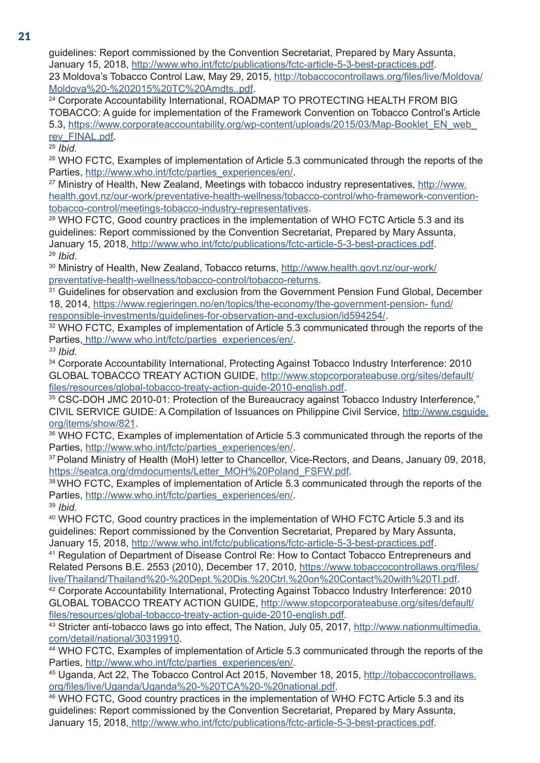guidelines: Report commissioned by the Convention Secretariat, Prepared by Mary Assunta, January 15, 2018, http://www.who.int/fctc/publications/fctc-article-5-3-best-practices.pdf. 23 Moldova's Tobacco Control Law, May 29, 2015, http://tobaccocontrollaws.org/files/live/Moldova/ Moldova%20-%202015%20TC%20Amdts..pdf.<br><sup>24</sup> Corporate Accountability International, ROADMAP TO PROTECTING HEALTH FROM BIG

TOBACCO: A guide for implementation of the Framework Convention on Tobacco Control's Article 5.3, https://www.corporateaccountability.org/wp-content/uploads/2015/03/Map-Booklet\_EN\_web\_ rev\_FINAL.pdf.

<sup>25</sup> *Ibid.*

26 WHO FCTC, Examples of implementation of Article 5.3 communicated through the reports of the Parties, http://www.who.int/fctc/parties\_experiences/en/.

<sup>27</sup> Ministry of Health, New Zealand, Meetings with tobacco industry representatives, http://www. health.govt.nz/our-work/preventative-health-wellness/tobacco-control/who-framework-conventiontobacco-control/meetings-tobacco-industry-representatives.<br><sup>28</sup> WHO FCTC, Good country practices in the implementation of WHO FCTC Article 5.3 and its

guidelines: Report commissioned by the Convention Secretariat, Prepared by Mary Assunta, January 15, 2018, http://www.who.int/fctc/publications/fctc-article-5-3-best-practices.pdf. 29 *Ibid*.

<sup>30</sup> Ministry of Health, New Zealand, Tobacco returns, http://www.health.govt.nz/our-work/<br>preventative-health-wellness/tobacco-control/tobacco-returns.

<sup>31</sup> Guidelines for observation and exclusion from the Government Pension Fund Global, December 18, 2014, https://www.regjeringen.no/en/topics/the-economy/the-government-pension- fund/

responsible-investments/guidelines-for-observation-and-exclusion/id594254/. 32 WHO FCTC, Examples of implementation of Article 5.3 communicated through the reports of the Parties, http://www.who.int/fctc/parties\_experiences/en/.

*33 Ibid*.

34 Corporate Accountability International, Protecting Against Tobacco Industry Interference: 2010 GLOBAL TOBACCO TREATY ACTION GUIDE, http://www.stopcorporateabuse.org/sites/default/ files/resources/global-tobacco-treaty-action-guide-2010-english.pdf.

35 CSC-DOH JMC 2010-01: Protection of the Bureaucracy against Tobacco Industry Interference." CIVIL SERVICE GUIDE: A Compilation of Issuances on Philippine Civil Service, http://www.csguide. org/items/show/821.

36 WHO FCTC, Examples of implementation of Article 5.3 communicated through the reports of the Parties, http://www.who.int/fctc/parties\_experiences/en/.

<sup>37</sup> Poland Ministry of Health (MoH) letter to Chancellor, Vice-Rectors, and Deans, January 09, 2018, https://seatca.org/dmdocuments/Letter MOH%20Poland FSFW.pdf.

<sup>38</sup> WHO FCTC, Examples of implementation of Article 5.3 communicated through the reports of the Parties, http://www.who.int/fctc/parties\_experiences/en/.

<sup>39</sup> *Ibid.*

40 WHO FCTC, Good country practices in the implementation of WHO FCTC Article 5.3 and its guidelines: Report commissioned by the Convention Secretariat, Prepared by Mary Assunta, January 15, 2018, http://www.who.int/fctc/publications/fctc-article-5-3-best-practices.pdf.<br><sup>41</sup> Regulation of Department of Disease Control Re: How to Contact Tobacco Entrepreneurs and

Related Persons B.E. 2553 (2010), December 17, 2010, https://www.tobaccocontrollaws.org/files/ live/Thailand/Thailand%20-%20Dept.%20Dis.%20Ctrl.%20on%20Contact%20with%20TI.pdf.

42 Corporate Accountability International, Protecting Against Tobacco Industry Interference: 2010 GLOBAL TOBACCO TREATY ACTION GUIDE, http://www.stopcorporateabuse.org/sites/default/ files/resources/global-tobacco-treaty-action-guide-2010-english.pdf.

<sup>43</sup> Stricter anti-tobacco laws go into effect, The Nation, July 05, 2017, http://www.nationmultimedia.<br>com/detail/national/30319910.

<sup>44</sup> WHO FCTC, Examples of implementation of Article 5.3 communicated through the reports of the Parties, http://www.who.int/fctc/parties\_experiences/en/.

45 Uganda, Act 22, The Tobacco Control Act 2015, November 18, 2015, http://tobaccocontrollaws. org/files/live/Uganda/Uganda%20-%20TCA%20-%20national.pdf. 46 WHO FCTC, Good country practices in the implementation of WHO FCTC Article 5.3 and its

guidelines: Report commissioned by the Convention Secretariat, Prepared by Mary Assunta, January 15, 2018, http://www.who.int/fctc/publications/fctc-article-5-3-best-practices.pdf.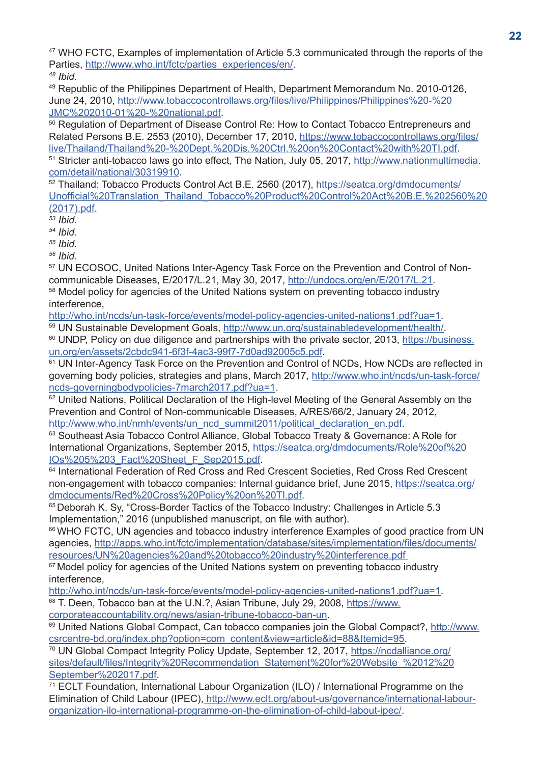47 WHO FCTC, Examples of implementation of Article 5.3 communicated through the reports of the Parties, http://www.who.int/fctc/parties\_experiences/en/.

*48 Ibid.*

49 Republic of the Philippines Department of Health, Department Memorandum No. 2010-0126, June 24, 2010, http://www.tobaccocontrollaws.org/files/live/Philippines/Philippines%20-%20 JMC%202010-01%20-%20national.pdf.<br><sup>50</sup> Regulation of Department of Disease Control Re: How to Contact Tobacco Entrepreneurs and

Related Persons B.E. 2553 (2010), December 17, 2010, https://www.tobaccocontrollaws.org/files/ live/Thailand/Thailand%20-%20Dept.%20Dis.%20Ctrl.%20on%20Contact%20with%20TI.pdf. 51 Stricter anti-tobacco laws go into effect, The Nation, July 05, 2017, http://www.nationmultimedia.

com/detail/national/30319910. 52 Thailand: Tobacco Products Control Act B.E. 2560 (2017), https://seatca.org/dmdocuments/ Unofficial%20Translation\_Thailand\_Tobacco%20Product%20Control%20Act%20B.E.%202560%20 (2017).pdf.

*53 Ibid.*

*54 Ibid.*

*55 Ibid.*

*56 Ibid.*

57 UN ECOSOC, United Nations Inter-Agency Task Force on the Prevention and Control of Noncommunicable Diseases, E/2017/L.21, May 30, 2017, http://undocs.org/en/E/2017/L.21.

<sup>58</sup> Model policy for agencies of the United Nations system on preventing tobacco industry interference,

http://who.int/ncds/un-task-force/events/model-policy-agencies-united-nations1.pdf?ua=1.

59 UN Sustainable Development Goals, http://www.un.org/sustainabledevelopment/health/. <sup>60</sup> UNDP, Policy on due diligence and partnerships with the private sector, 2013, https://business.

un.org/en/assets/2cbdc941-6f3f-4ac3-99f7-7d0ad92005c5.pdf.<br><sup>61</sup> UN Inter-Agency Task Force on the Prevention and Control of NCDs, How NCDs are reflected in governing body policies, strategies and plans, March 2017, http://www.who.int/ncds/un-task-force/ ncds-governingbodypolicies-7march2017.pdf?ua=1.

<sup>62</sup> United Nations, Political Declaration of the High-level Meeting of the General Assembly on the Prevention and Control of Non-communicable Diseases, A/RES/66/2, January 24, 2012, http://www.who.int/nmh/events/un\_ncd\_summit2011/political\_declaration\_en.pdf.

63 Southeast Asia Tobacco Control Alliance, Global Tobacco Treaty & Governance: A Role for International Organizations, September 2015, https://seatca.org/dmdocuments/Role%20of%20 IOs%205%203\_Fact%20Sheet\_F\_Sep2015.pdf. 64 International Federation of Red Cross and Red Crescent Societies, Red Cross Red Crescent

non-engagement with tobacco companies: Internal guidance brief, June 2015, https://seatca.org/ dmdocuments/Red%20Cross%20Policy%20on%20TI.pdf. 65 Deborah K. Sy, "Cross-Border Tactics of the Tobacco Industry: Challenges in Article 5.3

Implementation," 2016 (unpublished manuscript, on file with author).

<sup>66</sup> WHO FCTC, UN agencies and tobacco industry interference Examples of good practice from UN agencies, http://apps.who.int/fctc/implementation/database/sites/implementation/files/documents/ resources/UN%20agencies%20and%20tobacco%20industry%20interference.pdf

<sup>67</sup> Model policy for agencies of the United Nations system on preventing tobacco industry interference,

http://who.int/ncds/un-task-force/events/model-policy-agencies-united-nations1.pdf?ua=1.

68 T. Deen, Tobacco ban at the U.N.?, Asian Tribune, July 29, 2008, https://www.<br>corporateaccountability.org/news/asian-tribune-tobacco-ban-un.

<sup>69</sup> United Nations Global Compact, Can tobacco companies join the Global Compact?, http://www. csrcentre-bd.org/index.php?option=com\_content&view=article&id=88&Itemid=95. 70 UN Global Compact Integrity Policy Update, September 12, 2017, https://ncdalliance.org/

sites/default/files/Integrity%20Recommendation\_Statement%20for%20Website\_%2012%20 September%202017.pdf.

71 ECLT Foundation, International Labour Organization (ILO) / International Programme on the Elimination of Child Labour (IPEC), http://www.eclt.org/about-us/governance/international-labourorganization-ilo-international-programme-on-the-elimination-of-child-labout-ipec/.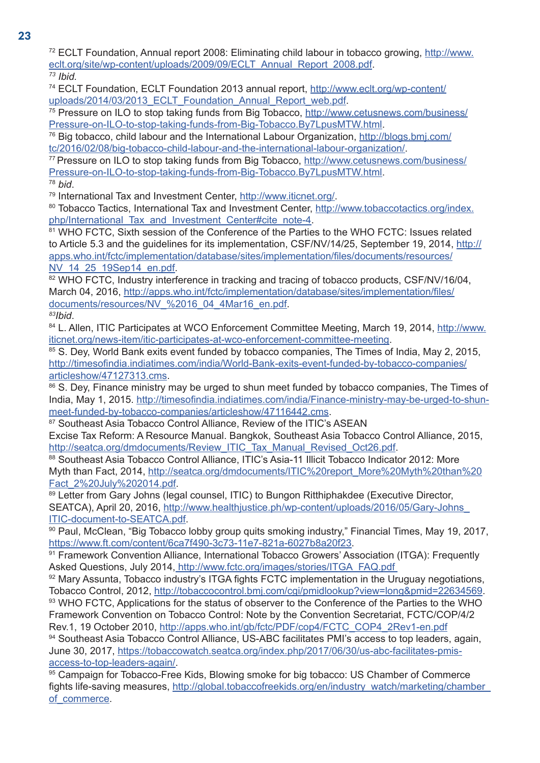72 ECLT Foundation, Annual report 2008: Eliminating child labour in tobacco growing, http://www. eclt.org/site/wp-content/uploads/2009/09/ECLT\_Annual\_Report\_2008.pdf.

*73 Ibid.*

74 ECLT Foundation, ECLT Foundation 2013 annual report, http://www.eclt.org/wp-content/

uploads/2014/03/2013\_ECLT\_Foundation\_Annual\_Report\_web.pdf.<br><sup>75</sup> Pressure on ILO to stop taking funds from Big Tobacco, http://www.cetusnews.com/business/ Pressure-on-ILO-to-stop-taking-funds-from-Big-Tobacco.By7LpusMTW.html.

<sup>76</sup> Big tobacco, child labour and the International Labour Organization, http://blogs.bmj.com/<br>tc/2016/02/08/big-tobacco-child-labour-and-the-international-labour-organization/.

<sup>77</sup> Pressure on ILO to stop taking funds from Big Tobacco, http://www.cetusnews.com/business/ Pressure-on-ILO-to-stop-taking-funds-from-Big-Tobacco.By7LpusMTW.html.

<sup>78</sup> *bid*.

79 International Tax and Investment Center, http://www.iticnet.org/.

80 Tobacco Tactics, International Tax and Investment Center, http://www.tobaccotactics.org/index. php/International\_Tax\_and\_Investment\_Center#cite\_note-4.<br><sup>81</sup> WHO FCTC, Sixth session of the Conference of the Parties to the WHO FCTC: Issues related

to Article 5.3 and the guidelines for its implementation, CSF/NV/14/25, September 19, 2014, http:// apps.who.int/fctc/implementation/database/sites/implementation/files/documents/resources/ NV\_14\_25\_19Sep14\_en.pdf. 82 MHz and tracking and tracing of tobacco products, CSF/NV/16/04,  $\frac{82}{16}$  WHO FCTC, Industry interference in tracking and tracing of tobacco products, CSF/NV/16/04,

March 04, 2016, http://apps.who.int/fctc/implementation/database/sites/implementation/files/ documents/resources/NV\_%2016\_04\_4Mar16\_en.pdf.

*83Ibid*.

84 L. Allen, ITIC Participates at WCO Enforcement Committee Meeting, March 19, 2014, http://www. iticnet.org/news-item/itic-participates-at-wco-enforcement-committee-meeting.

85 S. Dey, World Bank exits event funded by tobacco companies, The Times of India, May 2, 2015, http://timesofindia.indiatimes.com/india/World-Bank-exits-event-funded-by-tobacco-companies/ articleshow/47127313.cms.

86 S. Dey, Finance ministry may be urged to shun meet funded by tobacco companies, The Times of India, May 1, 2015. http://timesofindia.indiatimes.com/india/Finance-ministry-may-be-urged-to-shunmeet-funded-by-tobacco-companies/articleshow/47116442.cms.<br><sup>87</sup> Southeast Asia Tobacco Control Alliance, Review of the ITIC's ASEAN

Excise Tax Reform: A Resource Manual. Bangkok, Southeast Asia Tobacco Control Alliance, 2015, http://seatca.org/dmdocuments/Review\_ITIC\_Tax\_Manual\_Revised\_Oct26.pdf.<br><sup>88</sup> Southeast Asia Tobacco Control Alliance, ITIC's Asia-11 Illicit Tobacco Indicator 2012: More

Myth than Fact, 2014, http://seatca.org/dmdocuments/ITIC%20report\_More%20Myth%20than%20 Fact\_2%20July%202014.pdf.<br><sup>89</sup> Letter from Gary Johns (legal counsel, ITIC) to Bungon Ritthiphakdee (Executive Director,

SEATCA), April 20, 2016, http://www.healthjustice.ph/wp-content/uploads/2016/05/Gary-Johns\_ ITIC-document-to-SEATCA.pdf.<br><sup>90</sup> Paul, McClean, "Big Tobacco lobby group quits smoking industry," Financial Times, May 19, 2017,

https://www.ft.com/content/6ca7f490-3c73-11e7-821a-6027b8a20f23.<br><sup>91</sup> Framework Convention Alliance, International Tobacco Growers' Association (ITGA): Frequently

Asked Questions, July 2014, http://www.fctc.org/images/stories/ITGA\_FAQ.pdf

92 Mary Assunta, Tobacco industry's ITGA fights FCTC implementation in the Uruguay negotiations, Tobacco Control, 2012, http://tobaccocontrol.bmj.com/cgi/pmidlookup?view=long&pmid=22634569.<br><sup>93</sup> WHO FCTC, Applications for the status of observer to the Conference of the Parties to the WHO

Framework Convention on Tobacco Control: Note by the Convention Secretariat, FCTC/COP/4/2 Rev.1, 19 October 2010, http://apps.who.int/gb/fctc/PDF/cop4/FCTC\_COP4\_2Rev1-en.pdf

94 Southeast Asia Tobacco Control Alliance, US-ABC facilitates PMI's access to top leaders, again, June 30, 2017, https://tobaccowatch.seatca.org/index.php/2017/06/30/us-abc-facilitates-pmisaccess-to-top-leaders-again/.<br><sup>95</sup> Campaign for Tobacco-Free Kids, Blowing smoke for big tobacco: US Chamber of Commerce

fights life-saving measures, http://global.tobaccofreekids.org/en/industry\_watch/marketing/chamber of commerce.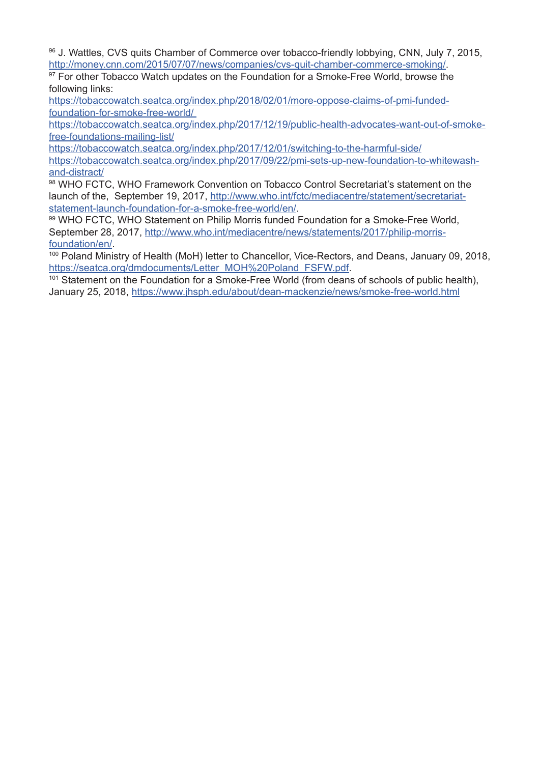96 J. Wattles, CVS quits Chamber of Commerce over tobacco-friendly lobbying, CNN, July 7, 2015, http://money.cnn.com/2015/07/07/news/companies/cvs-quit-chamber-commerce-smoking/.

<sup>97</sup> For other Tobacco Watch updates on the Foundation for a Smoke-Free World, browse the following links:

https://tobaccowatch.seatca.org/index.php/2018/02/01/more-oppose-claims-of-pmi-fundedfoundation-for-smoke-free-world/

https://tobaccowatch.seatca.org/index.php/2017/12/19/public-health-advocates-want-out-of-smokefree-foundations-mailing-list/

https://tobaccowatch.seatca.org/index.php/2017/12/01/switching-to-the-harmful-side/ https://tobaccowatch.seatca.org/index.php/2017/09/22/pmi-sets-up-new-foundation-to-whitewashand-distract/

98 WHO FCTC, WHO Framework Convention on Tobacco Control Secretariat's statement on the launch of the, September 19, 2017, http://www.who.int/fctc/mediacentre/statement/secretariatstatement-launch-foundation-for-a-smoke-free-world/en/.

99 WHO FCTC, WHO Statement on Philip Morris funded Foundation for a Smoke-Free World, September 28, 2017, http://www.who.int/mediacentre/news/statements/2017/philip-morris-

foundation/en/.<br><sup>100</sup> Poland Ministry of Health (MoH) letter to Chancellor, Vice-Rectors, and Deans, January 09, 2018, https://seatca.org/dmdocuments/Letter\_MOH%20Poland\_FSFW.pdf.

<sup>101</sup> Statement on the Foundation for a Smoke-Free World (from deans of schools of public health), January 25, 2018, https://www.jhsph.edu/about/dean-mackenzie/news/smoke-free-world.html